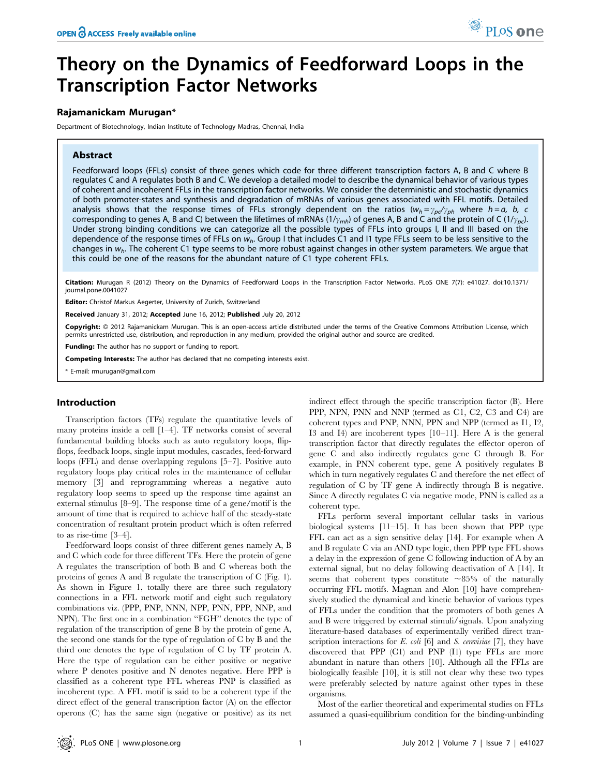# Theory on the Dynamics of Feedforward Loops in the Transcription Factor Networks

## Rajamanickam Murugan\*

Department of Biotechnology, Indian Institute of Technology Madras, Chennai, India

## Abstract

Feedforward loops (FFLs) consist of three genes which code for three different transcription factors A, B and C where B regulates C and A regulates both B and C. We develop a detailed model to describe the dynamical behavior of various types of coherent and incoherent FFLs in the transcription factor networks. We consider the deterministic and stochastic dynamics of both promoter-states and synthesis and degradation of mRNAs of various genes associated with FFL motifs. Detailed analysis shows that the response times of FFLs strongly dependent on the ratios  $(w_h = \gamma_{pc}/\gamma_{ph}$  where  $h = a$ , b, c corresponding to genes A, B and C) between the lifetimes of mRNAs  $(1/\gamma_{mh})$  of genes A, B and C and the protein of C  $(1/\gamma_{nc})$ . Under strong binding conditions we can categorize all the possible types of FFLs into groups I, II and III based on the dependence of the response times of FFLs on  $w_h$ . Group I that includes C1 and I1 type FFLs seem to be less sensitive to the changes in  $w_h$ . The coherent C1 type seems to be more robust against changes in other system parameters. We argue that this could be one of the reasons for the abundant nature of C1 type coherent FFLs.

Citation: Murugan R (2012) Theory on the Dynamics of Feedforward Loops in the Transcription Factor Networks. PLoS ONE 7(7): e41027. doi:10.1371/ journal.pone.0041027

Editor: Christof Markus Aegerter, University of Zurich, Switzerland

Received January 31, 2012; Accepted June 16, 2012; Published July 20, 2012

**Copyright:** © 2012 Rajamanickam Murugan. This is an open-access article distributed under the terms of the Creative Commons Attribution License, which permits unrestricted use, distribution, and reproduction in any medium, provided the original author and source are credited.

**Funding:** The author has no support or funding to report.

Competing Interests: The author has declared that no competing interests exist.

\* E-mail: rmurugan@gmail.com

# Introduction

Transcription factors (TFs) regulate the quantitative levels of many proteins inside a cell [1–4]. TF networks consist of several fundamental building blocks such as auto regulatory loops, flipflops, feedback loops, single input modules, cascades, feed-forward loops (FFL) and dense overlapping regulons [5–7]. Positive auto regulatory loops play critical roles in the maintenance of cellular memory [3] and reprogramming whereas a negative auto regulatory loop seems to speed up the response time against an external stimulus [8–9]. The response time of a gene/motif is the amount of time that is required to achieve half of the steady-state concentration of resultant protein product which is often referred to as rise-time [3–4].

Feedforward loops consist of three different genes namely A, B and C which code for three different TFs. Here the protein of gene A regulates the transcription of both B and C whereas both the proteins of genes A and B regulate the transcription of C (Fig. 1). As shown in Figure 1, totally there are three such regulatory connections in a FFL network motif and eight such regulatory combinations viz. (PPP, PNP, NNN, NPP, PNN, PPP, NNP, and NPN). The first one in a combination ''FGH'' denotes the type of regulation of the transcription of gene B by the protein of gene A, the second one stands for the type of regulation of C by B and the third one denotes the type of regulation of C by TF protein A. Here the type of regulation can be either positive or negative where P denotes positive and N denotes negative. Here PPP is classified as a coherent type FFL whereas PNP is classified as incoherent type. A FFL motif is said to be a coherent type if the direct effect of the general transcription factor (A) on the effector operons (C) has the same sign (negative or positive) as its net indirect effect through the specific transcription factor (B). Here PPP, NPN, PNN and NNP (termed as C1, C2, C3 and C4) are coherent types and PNP, NNN, PPN and NPP (termed as I1, I2, I3 and I4) are incoherent types [10–11]. Here A is the general transcription factor that directly regulates the effector operon of gene C and also indirectly regulates gene C through B. For example, in PNN coherent type, gene A positively regulates B which in turn negatively regulates C and therefore the net effect of regulation of C by TF gene A indirectly through B is negative. Since A directly regulates C via negative mode, PNN is called as a coherent type.

FFLs perform several important cellular tasks in various biological systems [11–15]. It has been shown that PPP type FFL can act as a sign sensitive delay [14]. For example when A and B regulate C via an AND type logic, then PPP type FFL shows a delay in the expression of gene C following induction of A by an external signal, but no delay following deactivation of A [14]. It seems that coherent types constitute  $\sim 85\%$  of the naturally occurring FFL motifs. Magnan and Alon [10] have comprehensively studied the dynamical and kinetic behavior of various types of FFLs under the condition that the promoters of both genes A and B were triggered by external stimuli/signals. Upon analyzing literature-based databases of experimentally verified direct transcription interactions for  $E.$  coli [6] and  $S.$  cerevisiae [7], they have discovered that PPP (C1) and PNP (I1) type FFLs are more abundant in nature than others [10]. Although all the FFLs are biologically feasible [10], it is still not clear why these two types were preferably selected by nature against other types in these organisms.

Most of the earlier theoretical and experimental studies on FFLs assumed a quasi-equilibrium condition for the binding-unbinding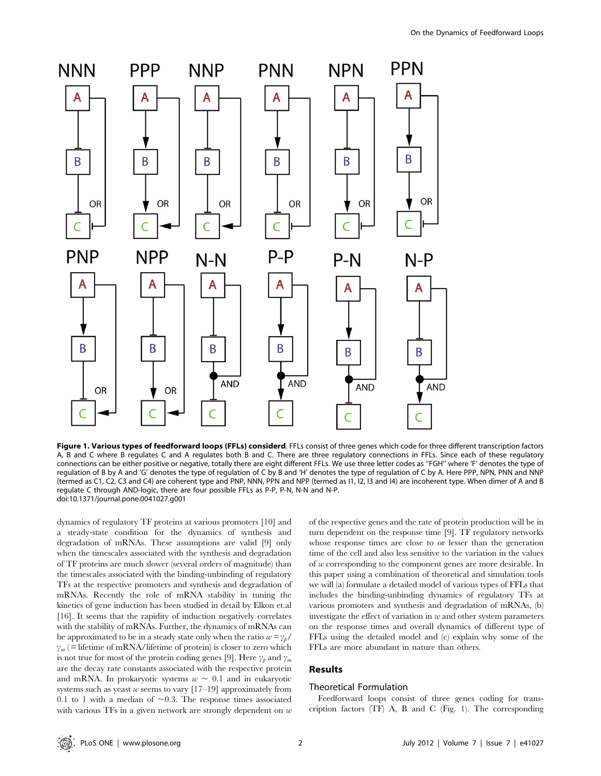

Figure 1. Various types of feedforward loops (FFLs) considerd. FFLs consist of three genes which code for three different transcription factors A, B and C where B regulates C and A regulates both B and C. There are three regulatory connections in FFLs. Since each of these regulatory connections can be either positive or negative, totally there are eight different FFLs. We use three letter codes as ''FGH'' where 'F' denotes the type of regulation of B by A and 'G' denotes the type of regulation of C by B and 'H' denotes the type of regulation of C by A. Here PPP, NPN, PNN and NNP (termed as C1, C2, C3 and C4) are coherent type and PNP, NNN, PPN and NPP (termed as I1, I2, I3 and I4) are incoherent type. When dimer of A and B regulate C through AND-logic, there are four possible FFLs as P-P, P-N, N-N and N-P. doi:10.1371/journal.pone.0041027.g001

dynamics of regulatory TF proteins at various promoters [10] and a steady-state condition for the dynamics of synthesis and degradation of mRNAs. These assumptions are valid [9] only when the timescales associated with the synthesis and degradation of TF proteins are much slower (several orders of magnitude) than the timescales associated with the binding-unbinding of regulatory TFs at the respective promoters and synthesis and degradation of mRNAs. Recently the role of mRNA stability in tuning the kinetics of gene induction has been studied in detail by Elkon et.al [16]. It seems that the rapidity of induction negatively correlates with the stability of mRNAs. Further, the dynamics of mRNAs can be approximated to be in a steady state only when the ratio  $w = \gamma_b/2$  $\gamma_m$  ( = lifetime of mRNA/lifetime of protein) is closer to zero which is not true for most of the protein coding genes [9]. Here  $\gamma_p$  and  $\gamma_m$ are the decay rate constants associated with the respective protein and mRNA. In prokaryotic systems  $w \sim 0.1$  and in eukaryotic systems such as yeast  $w$  seems to vary  $[17–19]$  approximately from 0.1 to 1 with a median of  $\sim$ 0.3. The response times associated with various TFs in a given network are strongly dependent on  $w$  of the respective genes and the rate of protein production will be in turn dependent on the response time [9]. TF regulatory networks whose response times are close to or lesser than the generation time of the cell and also less sensitive to the variation in the values of w corresponding to the component genes are more desirable. In this paper using a combination of theoretical and simulation tools we will (a) formulate a detailed model of various types of FFLs that includes the binding-unbinding dynamics of regulatory TFs at various promoters and synthesis and degradation of mRNAs, (b) investigate the effect of variation in  $w$  and other system parameters on the response times and overall dynamics of different type of FFLs using the detailed model and (c) explain why some of the FFLs are more abundant in nature than others.

# Results

#### Theoretical Formulation

Feedforward loops consist of three genes coding for transcription factors (TF) A, B and C (Fig. 1). The corresponding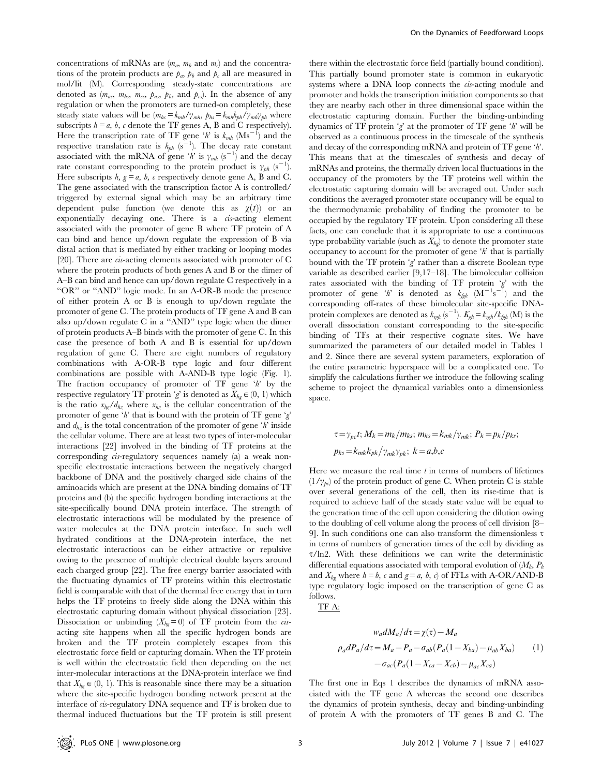concentrations of mRNAs are  $(m_a, m_b \text{ and } m_c)$  and the concentrations of the protein products are  $p_a$ ,  $p_b$  and  $p_c$  all are measured in mol/lit (M). Corresponding steady-state concentrations are denoted as  $(m_{as}, m_{bs}, m_{cs}, p_{as}, p_{bs} \text{ and } p_{cs})$ . In the absence of any regulation or when the promoters are turned-on completely, these steady state values will be  $(m_{hs} = k_{mh}/\gamma_{mh}, p_{hs} = k_{mh}k_{bh}/\gamma_{mh}\gamma_{bh}$  where subscripts  $h = a$ ,  $b$ ,  $c$  denote the TF genes A, B and C respectively). Here the transcription rate of TF gene 'h' is  $k_{mh}$  (Ms<sup>-1</sup>) and the respective translation rate is  $k_{ph}$  (s<sup>-1</sup>). The decay rate constant associated with the mRNA of gene 'h' is  $\gamma_{mh}$  (s<sup>-1</sup>) and the decay rate constant corresponding to the protein product is  $\gamma_{ph}$  (s<sup>-1</sup>). Here subscripts  $h, g = a, b, c$  respectively denote gene A, B and C. The gene associated with the transcription factor A is controlled/ triggered by external signal which may be an arbitrary time dependent pulse function (we denote this as  $\chi(t)$ ) or an exponentially decaying one. There is a cis-acting element associated with the promoter of gene B where TF protein of A can bind and hence up/down regulate the expression of B via distal action that is mediated by either tracking or looping modes [20]. There are cis-acting elements associated with promoter of C where the protein products of both genes A and B or the dimer of A–B can bind and hence can up/down regulate C respectively in a ''OR'' or ''AND'' logic mode. In an A-OR-B mode the presence of either protein A or B is enough to up/down regulate the promoter of gene C. The protein products of TF gene A and B can also up/down regulate C in a ''AND'' type logic when the dimer of protein products A–B binds with the promoter of gene C. In this case the presence of both A and B is essential for up/down regulation of gene C. There are eight numbers of regulatory combinations with A-OR-B type logic and four different combinations are possible with A-AND-B type logic (Fig. 1). The fraction occupancy of promoter of  $TF$  gene  $'h$  by the respective regulatory TF protein 'g' is denoted as  $X_{hg} \in (0, 1)$  which is the ratio  $x_{hg}/d_{hz}$  where  $x_{hg}$  is the cellular concentration of the promoter of gene 'h' that is bound with the protein of TF gene 'g' and  $d_{hz}$  is the total concentration of the promoter of gene 'h' inside the cellular volume. There are at least two types of inter-molecular interactions [22] involved in the binding of TF proteins at the corresponding *cis*-regulatory sequences namely (a) a weak nonspecific electrostatic interactions between the negatively charged backbone of DNA and the positively charged side chains of the aminoacids which are present at the DNA binding domains of TF proteins and (b) the specific hydrogen bonding interactions at the site-specifically bound DNA protein interface. The strength of electrostatic interactions will be modulated by the presence of water molecules at the DNA protein interface. In such well hydrated conditions at the DNA-protein interface, the net electrostatic interactions can be either attractive or repulsive owing to the presence of multiple electrical double layers around each charged group [22]. The free energy barrier associated with the fluctuating dynamics of TF proteins within this electrostatic field is comparable with that of the thermal free energy that in turn helps the TF proteins to freely slide along the DNA within this electrostatic capturing domain without physical dissociation [23]. Dissociation or unbinding  $(X_{hg}=0)$  of TF protein from the *cis*acting site happens when all the specific hydrogen bonds are broken and the TF protein completely escapes from this electrostatic force field or capturing domain. When the TF protein is well within the electrostatic field then depending on the net inter-molecular interactions at the DNA-protein interface we find that  $X_{hq} \in (0, 1)$ . This is reasonable since there may be a situation where the site-specific hydrogen bonding network present at the interface of cis-regulatory DNA sequence and TF is broken due to thermal induced fluctuations but the TF protein is still present

there within the electrostatic force field (partially bound condition). This partially bound promoter state is common in eukaryotic systems where a DNA loop connects the cis-acting module and promoter and holds the transcription initiation components so that they are nearby each other in three dimensional space within the electrostatic capturing domain. Further the binding-unbinding dynamics of TF protein 'g' at the promoter of TF gene 'h' will be observed as a continuous process in the timescale of the synthesis and decay of the corresponding mRNA and protein of TF gene 'h'. This means that at the timescales of synthesis and decay of mRNAs and proteins, the thermally driven local fluctuations in the occupancy of the promoters by the TF proteins well within the electrostatic capturing domain will be averaged out. Under such conditions the averaged promoter state occupancy will be equal to the thermodynamic probability of finding the promoter to be occupied by the regulatory TF protein. Upon considering all these facts, one can conclude that it is appropriate to use a continuous type probability variable (such as  $X_{hq}$ ) to denote the promoter state occupancy to account for the promoter of gene 'h' that is partially bound with the TF protein 'g' rather than a discrete Boolean type variable as described earlier [9,17–18]. The bimolecular collision rates associated with the binding of TF protein  $g'$  with the promoter of gene 'h' is denoted as  $k_{\text{gph}}$  (M<sup>-1</sup>s<sup>-1</sup>) and the corresponding off-rates of these bimolecular site-specific DNAprotein complexes are denoted as  $k_{rgb}$  (s<sup>-1</sup>).  $K_{gh} = k_{rgb}/k_{fgh}$  (M) is the overall dissociation constant corresponding to the site-specific binding of TFs at their respective cognate sites. We have summarized the parameters of our detailed model in Tables 1 and 2. Since there are several system parameters, exploration of the entire parametric hyperspace will be a complicated one. To simplify the calculations further we introduce the following scaling scheme to project the dynamical variables onto a dimensionless space.

$$
\tau = \gamma_{pc}t; M_k = m_k/m_{ks}; m_{ks} = k_{mk}/\gamma_{mk}; P_k = p_k/p_{ks};
$$
  

$$
p_{ks} = k_{mk}k_{pk}/\gamma_{mk}\gamma_{pk}; k = a,b,c
$$

Here we measure the real time  $t$  in terms of numbers of lifetimes  $(1/\gamma_{pc})$  of the protein product of gene C. When protein C is stable over several generations of the cell, then its rise-time that is required to achieve half of the steady state value will be equal to the generation time of the cell upon considering the dilution owing to the doubling of cell volume along the process of cell division [8– 9]. In such conditions one can also transform the dimensionless  $\tau$ in terms of numbers of generation times of the cell by dividing as  $\tau$ /ln2. With these definitions we can write the deterministic differential equations associated with temporal evolution of  $(M_h, P_h)$ and  $X_{hg}$  where  $h = b$ , c and  $g = a$ , b, c) of FFLs with A-OR/AND-B type regulatory logic imposed on the transcription of gene C as follows.

TF A:

$$
w_a dM_a/d\tau = \chi(\tau) - M_a
$$
  
\n
$$
\rho_a dP_a/d\tau = M_a - P_a - \sigma_{ab} (P_a (1 - X_{ba}) - \mu_{ab} X_{ba})
$$
 (1)  
\n
$$
-\sigma_{ac} (P_a (1 - X_{ca} - X_{cb}) - \mu_{ac} X_{ca})
$$

The first one in Eqs 1 describes the dynamics of mRNA associated with the TF gene A whereas the second one describes the dynamics of protein synthesis, decay and binding-unbinding of protein A with the promoters of TF genes B and C. The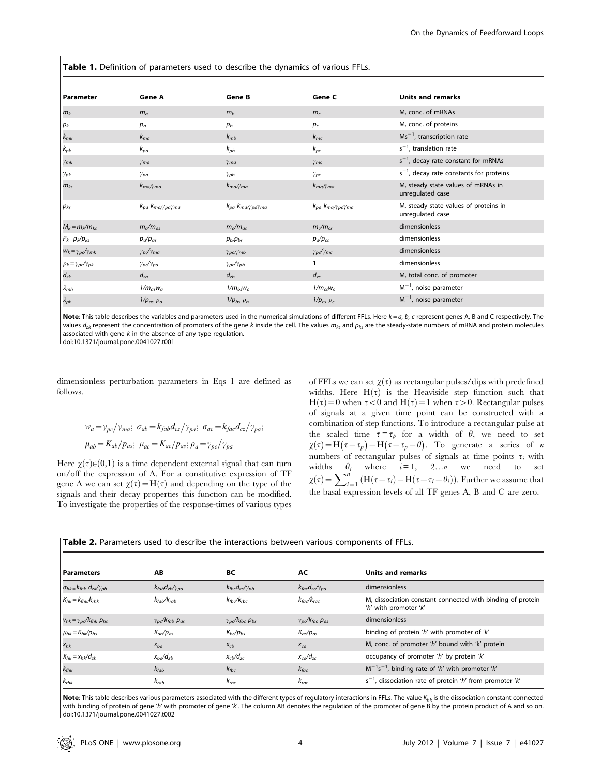Table 1. Definition of parameters used to describe the dynamics of various FFLs.

| l Parameter                        | <b>Gene A</b>             | <b>Gene B</b>                            | Gene C                    | <b>Units and remarks</b>                                  |
|------------------------------------|---------------------------|------------------------------------------|---------------------------|-----------------------------------------------------------|
| $m_k$                              | $m_a$                     | m <sub>b</sub>                           | $m_c$                     | M, conc. of mRNAs                                         |
| $p_k$                              | $p_a$                     | $p_b$                                    | $p_c$                     | M, conc. of proteins                                      |
| $k_{mk}$                           | $k_{ma}$                  | $k_{mb}$                                 | $k_{mc}$                  | $Ms^{-1}$ , transcription rate                            |
| $k_{pk}$                           | $k_{pa}$                  | $k_{pb}$                                 | $k_{pc}$                  | $s^{-1}$ , translation rate                               |
| $\gamma_{mk}$                      | $\gamma_{ma}$             | $\gamma_{ma}$                            | $\gamma_{mc}$             | $s^{-1}$ , decay rate constant for mRNAs                  |
| $\gamma_{pk}$                      | $\gamma_{pa}$             | $\gamma_{pb}$                            | $\gamma_{pc}$             | $s^{-1}$ , decay rate constants for proteins              |
| $m_{ks}$                           | $k_{ma}\gamma_{ma}$       | $k_{ma}\gamma_{ma}$                      | $k_{ma}\gamma_{ma}$       | M, steady state values of mRNAs in<br>unregulated case    |
| $p_{ks}$                           | $k_{pa}$ $k_{ma}$ //pa/ma | $k_{pa}$ $k_{ma}/\gamma_{pa}\gamma_{ma}$ | $k_{pa}$ $k_{ma}$ //pa/ma | M, steady state values of proteins in<br>unregulated case |
| $M_k = m_k/m_{ks}$                 | $m_a/m_{as}$              | $m_{\alpha}/m_{as}$                      | $m_c/m_{cs}$              | dimensionless                                             |
| $P_{k} = p_{k}/p_{ks}$             | $p_a/p_{as}$              | $p_b$ $p_{bs}$                           | $p_a/p_{cs}$              | dimensionless                                             |
| $W_k = \gamma_{pc}/\gamma_{mk}$    | $\gamma_{pc}/\gamma_{ma}$ | $\gamma_{pc}$ $\gamma_{mb}$              | $\gamma_{pe}/\gamma_{mc}$ | dimensionless                                             |
| $\rho_k = \gamma_{pc}/\gamma_{pk}$ | $\gamma_{pe}/\gamma_{pa}$ | $\gamma_{pe}/\gamma_{pb}$                |                           | dimensionless                                             |
| $d_{zk}$                           | $d_{za}$                  | $d_{zb}$                                 | $d_{zc}$                  | M, total conc. of promoter                                |
| $\lambda_{mh}$                     | $1/m_{as}w_a$             | $1/m_{bs}$ $w_c$                         | $1/m_{cs}$ w <sub>c</sub> | $M^{-1}$ , noise parameter                                |
| $\lambda_{ph}$                     | $1/p_{as}$ $\rho_a$       | $1/p_{bs}$ $\rho_b$                      | $1/p_{cs}$ $\rho_c$       | $M^{-1}$ , noise parameter                                |

Note: This table describes the variables and parameters used in the numerical simulations of different FFLs. Here  $k = a$ ,  $b$ ,  $c$  represent genes A, B and C respectively. The values  $d_{zk}$  represent the concentration of promoters of the gene k inside the cell. The values  $m_{ks}$  and  $p_{ks}$  are the steady-state numbers of mRNA and protein molecules associated with gene  $k$  in the absence of any type regulation.

doi:10.1371/journal.pone.0041027.t001

dimensionless perturbation parameters in Eqs 1 are defined as follows.

$$
w_a = \gamma_{pc} / \gamma_{ma}; \ \sigma_{ab} = k_{fab} d_{cz} / \gamma_{pa}; \ \sigma_{ac} = k_{fac} d_{cz} / \gamma_{pa};
$$
  

$$
\mu_{ab} = K_{ab} / p_{as}; \ \mu_{ac} = K_{ac} / p_{as}; \rho_a = \gamma_{pc} / \gamma_{pa}
$$

Here  $\chi(\tau) \in (0,1)$  is a time dependent external signal that can turn on/off the expression of A. For a constitutive expression of TF gene A we can set  $\chi(\tau) = H(\tau)$  and depending on the type of the signals and their decay properties this function can be modified. To investigate the properties of the response-times of various types

of FFLs we can set  $\chi(\tau)$  as rectangular pulses/dips with predefined widths. Here  $H(\tau)$  is the Heaviside step function such that  $H(\tau) = 0$  when  $\tau < 0$  and  $H(\tau) = 1$  when  $\tau > 0$ . Rectangular pulses of signals at a given time point can be constructed with a combination of step functions. To introduce a rectangular pulse at the scaled time  $\tau = \tau_p$  for a width of  $\theta$ , we need to set  $\chi(\tau) = H(\tau - \tau_p) - H(\tau - \tau_p - \theta)$ . To generate a series of n numbers of rectangular pulses of signals at time points  $\tau_i$  with widths  $\theta_i$  where  $i=1, 2...n$  we need to set  $\chi(\tau) = \sum_{i=1}^{n} (H(\tau - \tau_i) - H(\tau - \tau_i - \theta_i)).$  Further we assume that the basal expression levels of all TF genes A, B and C are zero.

|  | <b>Table 2.</b> Parameters used to describe the interactions between various components of FFLs. |  |  |  |  |  |  |
|--|--------------------------------------------------------------------------------------------------|--|--|--|--|--|--|
|--|--------------------------------------------------------------------------------------------------|--|--|--|--|--|--|

| l Parameters                                 | AB                                         | BС                             | AC                                                            | Units and remarks                                                                   |
|----------------------------------------------|--------------------------------------------|--------------------------------|---------------------------------------------------------------|-------------------------------------------------------------------------------------|
| $\sigma_{hk} = k_{fhk} d_{zk} / \gamma_{ph}$ | $k_{fab}d_{zb}/\gamma_{pa}$                | $k_{fbc}d_{zc}/\gamma_{pb}$    | $k_{fac}d_{zc}/\gamma_{pa}$                                   | dimensionless                                                                       |
| $K_{hk} = k_{fhk}/k_{rhk}$                   | $k_{fab}/k_{rab}$                          | $k_{fbc}/k_{rbc}$              | $k_{fac}/k_{rac}$                                             | M, dissociation constant connected with binding of protein<br>'h' with promoter 'k' |
| $V_{hk} = \gamma_{pc}/k_{fhk} p_{hs}$        | $\gamma_{\rm pc}/k_{\rm fab}$ $p_{\rm as}$ | $\gamma_{pc}/k_{fbc}$ $p_{bs}$ | $\gamma_{\textit{pc}}$ / $k_{\textit{fac}}$ $p_{\textit{as}}$ | dimensionless                                                                       |
| $\mu_{hk} = K_{hk}/p_{hs}$                   | $K_{ab}/p_{as}$                            | $K_{bc}/p_{bs}$                | $K_{ac}/p_{as}$                                               | binding of protein 'h' with promoter of 'k'                                         |
| $X_{hk}$                                     | $X_{ba}$                                   | $X_{cb}$                       | $X_{ca}$                                                      | M, conc. of promoter 'h' bound with 'k' protein                                     |
| $X_{hk} = X_{hk}/d_{zh}$                     | $x_{ba}/d_{zb}$                            | $x_{cb}/d_{zc}$                | $x_{cd}/d_{zc}$                                               | occupancy of promoter 'h' by protein 'k'                                            |
| $k_{\text{fhk}}$                             | $k_{fab}$                                  | $k_{fbc}$                      | $k_{fac}$                                                     | $M^{-1}s^{-1}$ , binding rate of 'h' with promoter 'k'                              |
| $k_{\text{thk}}$                             | $k_{rab}$                                  | $k_{rbc}$                      | $k_{rac}$                                                     | $s^{-1}$ , dissociation rate of protein 'h' from promoter 'k'                       |

Note: This table describes various parameters associated with the different types of regulatory interactions in FFLs. The value  $K_{hk}$  is the dissociation constant connected with binding of protein of gene 'h' with promoter of gene 'k'. The column AB denotes the regulation of the promoter of gene B by the protein product of A and so on. doi:10.1371/journal.pone.0041027.t002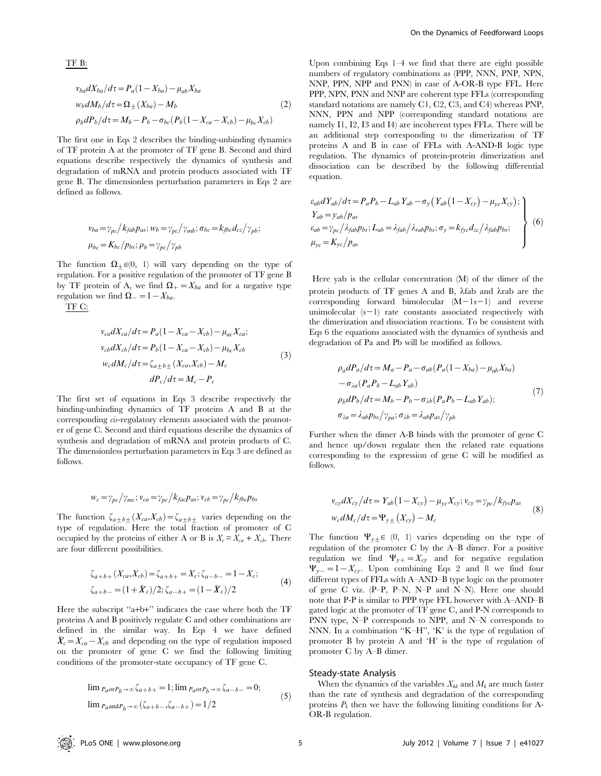$$
v_{ba}dX_{ba}/d\tau = P_a(1 - X_{ba}) - \mu_{ab}X_{ba}
$$
  
\n
$$
w_b dM_b/d\tau = \Omega_{\pm}(X_{ba}) - M_b
$$
  
\n
$$
\rho_b dP_b/d\tau = M_b - P_b - \sigma_{bc}(P_b(1 - X_{ca} - X_{cb}) - \mu_{bc}X_{cb})
$$
\n(2)

The first one in Eqs 2 describes the binding-unbinding dynamics of TF protein A at the promoter of TF gene B. Second and third equations describe respectively the dynamics of synthesis and degradation of mRNA and protein products associated with TF gene B. The dimensionless perturbation parameters in Eqs 2 are defined as follows.

$$
\nu_{ba} = \gamma_{pc} / k_{fab} p_{as}; \,\n\nu_b = \gamma_{pc} / \gamma_{mb}; \,\n\sigma_{bc} = k_{fbc} d_{cz} / \gamma_{pb};
$$
\n
$$
\mu_{bc} = K_{bc} / p_{bs}; \,\n\rho_b = \gamma_{pc} / \gamma_{pb}
$$

The function  $\Omega_+ \in (0, 1)$  will vary depending on the type of regulation. For a positive regulation of the promoter of TF gene B by TF protein of A, we find  $\Omega_{+}=X_{ba}$  and for a negative type regulation we find  $\Omega_{-}=1-X_{ba}$ .

TF C:

TF B:

$$
v_{ca}dX_{ca}/d\tau = P_a(1 - X_{ca} - X_{cb}) - \mu_{ac}X_{ca};
$$
  
\n
$$
v_{cb}dX_{cb}/d\tau = P_b(1 - X_{ca} - X_{cb}) - \mu_{bc}X_{cb}
$$
  
\n
$$
w_c dM_c/d\tau = \zeta_{a \pm b \pm}(X_{ca}, X_{cb}) - M_c
$$
  
\n
$$
dP_c/d\tau = M_c - P_c
$$
\n(3)

The first set of equations in Eqs 3 describe respectively the binding-unbinding dynamics of TF proteins A and B at the corresponding cis-regulatory elements associated with the promoter of gene C. Second and third equations describe the dynamics of synthesis and degradation of mRNA and protein products of C. The dimensionless perturbation parameters in Eqs 3 are defined as follows.

$$
w_c = \gamma_{pc} / \gamma_{mc}; v_{ca} = \gamma_{pc} / k_{fac} p_{as}; v_{cb} = \gamma_{pc} / k_{fbc} p_{bs}
$$

The function  $\zeta_{a\pm b\pm}(X_{ca},X_{cb}) = \zeta_{a\pm b\pm}$  varies depending on the type of regulation. Here the total fraction of promoter of C occupied by the proteins of either A or B is  $X_c = X_{ca} + X_{cb}$ . There are four different possibilities.

$$
\zeta_{a+b+}(X_{ca}, X_{cb}) = \zeta_{a+b+} = X_c; \zeta_{a-b-} = 1 - X_c; \zeta_{a+b-} = (1 + \bar{X}_c)/2; \zeta_{a-b+} = (1 - \bar{X}_c)/2
$$
\n(4)

Here the subscript "a+b+" indicates the case where both the TF proteins A and B positively regulate C and other combinations are defined in the similar way. In Eqs 4 we have defined  $\bar{X}_c = X_{ca} - X_{cb}$  and depending on the type of regulation imposed on the promoter of gene C we find the following limiting conditions of the promoter-state occupancy of TF gene C.

$$
\lim_{P_a \text{or } P_b \to \infty} \zeta_{a+b+} = 1; \lim_{P_a \text{or } P_b \to \infty} \zeta_{a-b-} = 0;
$$
\n
$$
\lim_{P_a \text{and } P_b \to \infty} (\zeta_{a+b-}, \zeta_{a-b+}) = 1/2
$$
\n(5)

Upon combining Eqs 1–4 we find that there are eight possible numbers of regulatory combinations as (PPP, NNN, PNP, NPN, NNP, PPN, NPP and PNN) in case of A-OR-B type FFL. Here PPP, NPN, PNN and NNP are coherent type FFLs (corresponding standard notations are namely C1, C2, C3, and C4) whereas PNP, NNN, PPN and NPP (corresponding standard notations are namely I1, I2, I3 and I4) are incoherent types FFLs. There will be an additional step corresponding to the dimerization of TF proteins A and B in case of FFLs with A-AND-B logic type regulation. The dynamics of protein-protein dimerization and dissociation can be described by the following differential equation.

$$
\begin{aligned}\n\varepsilon_{ab} dY_{ab}/d\tau &= P_a P_b - L_{ab} Y_{ab} - \sigma_y \left( Y_{ab} \left( 1 - X_{cy} \right) - \mu_{yc} X_{cy} \right); \\
Y_{ab} &= y_{ab} / p_{as} \\
\varepsilon_{ab} &= \gamma_{pc} / \lambda_{fab} p_{bs}; \\
L_{ab} &= \lambda_{fab} / \lambda_{rab} p_{bs}; \\
\sigma_y &= K_{yc} / p_{as}\n\end{aligned}
$$
\n(6)

Here yab is the cellular concentration (M) of the dimer of the protein products of TF genes A and B,  $\lambda$ fab and  $\lambda$ rab are the corresponding forward bimolecular  $(M-1s-1)$  and reverse unimolecular  $(s-1)$  rate constants associated respectively with the dimerization and dissociation reactions. To be consistent with Eqs 6 the equations associated with the dynamics of synthesis and degradation of Pa and Pb will be modified as follows.

$$
\rho_d P_a / d\tau = M_a - P_a - \sigma_{ab} (P_a (1 - X_{ba}) - \mu_{ab} X_{ba})
$$
  
\n
$$
- \sigma_{\lambda a} (P_a P_b - L_{ab} Y_{ab})
$$
  
\n
$$
\rho_b dP_b / d\tau = M_b - P_b - \sigma_{\lambda b} (P_a P_b - L_{ab} Y_{ab});
$$
  
\n
$$
\sigma_{\lambda a} = \lambda_{ab} p_{bs} / \gamma_{pa}; \sigma_{\lambda b} = \lambda_{ab} p_{as} / \gamma_{pb}
$$
\n(7)

Further when the dimer A-B binds with the promoter of gene C and hence up/down regulate then the related rate equations corresponding to the expression of gene C will be modified as follows.

$$
v_{cy}dX_{cy}/d\tau = Y_{ab}(1 - X_{cy}) - \mu_{yc}X_{cy}; v_{cy} = \gamma_{pc}/k_{fyc}p_{as}
$$
  

$$
w_c dM_c/d\tau = \Psi_{y\pm}(X_{cy}) - M_c
$$
 (8)

The function  $\Psi_{y\pm} \in (0, 1)$  varies depending on the type of regulation of the promoter C by the A–B dimer. For a positive regulation we find  $\Psi_{y+}=X_{cy}$  and for negative regulation  $\Psi_{y-}=1-X_{cy}$ . Upon combining Eqs 2 and 8 we find four different types of FFLs with A–AND–B type logic on the promoter of gene C viz. (P–P, P–N, N–P and N–N). Here one should note that P-P is similar to PPP type FFL however with A–AND–B gated logic at the promoter of TF gene C, and P-N corresponds to PNN type, N–P corresponds to NPP, and N–N corresponds to NNN. In a combination ''K–H'', 'K' is the type of regulation of promoter B by protein A and 'H' is the type of regulation of promoter C by A–B dimer.

#### Steady-state Analysis

When the dynamics of the variables  $X_{hk}$  and  $M_k$  are much faster than the rate of synthesis and degradation of the corresponding proteins  $P_k$  then we have the following limiting conditions for A-OR-B regulation.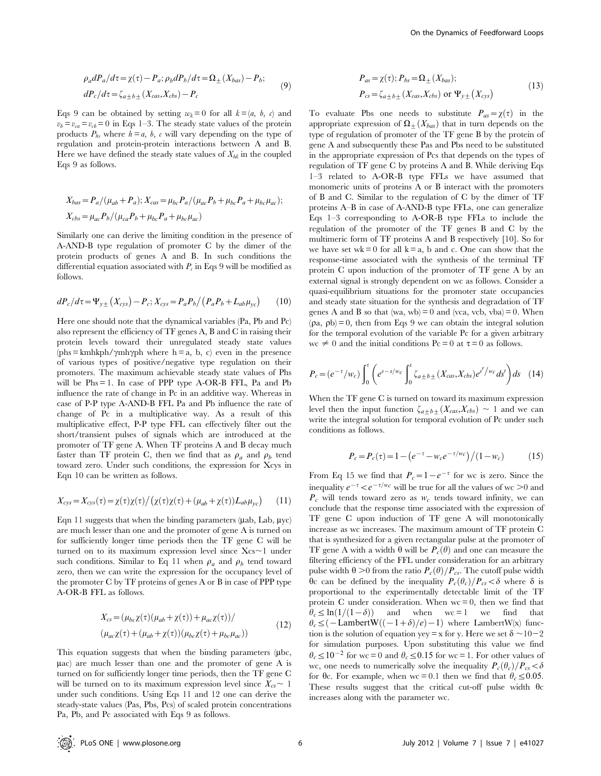$$
\rho_a dP_a/d\tau = \chi(\tau) - P_a; \rho_b dP_b/d\tau = \Omega_{\pm} (X_{bas}) - P_b; dP_c/d\tau = \zeta_{a \pm b \pm} (X_{cas}, X_{obs}) - P_c
$$
\n(9)

Eqs 9 can be obtained by setting  $w_k = 0$  for all  $k = (a, b, c)$  and  $v_b = v_{ca} = v_{cb} = 0$  in Eqs 1–3. The steady state values of the protein products  $P_{hs}$  where  $h = a, b, c$  will vary depending on the type of regulation and protein-protein interactions between A and B. Here we have defined the steady state values of  $X_{hk}$  in the coupled Eqs 9 as follows.

$$
X_{bas} = P_a/(\mu_{ab} + P_a); X_{cas} = \mu_{bc} P_a/(\mu_{ac} P_b + \mu_{bc} P_a + \mu_{bc} \mu_{ac});
$$
  

$$
X_{obs} = \mu_{ac} P_b/(\mu_{ca} P_b + \mu_{bc} P_a + \mu_{bc} \mu_{ac})
$$

Similarly one can derive the limiting condition in the presence of A-AND-B type regulation of promoter C by the dimer of the protein products of genes A and B. In such conditions the differential equation associated with  $P_c$  in Eqs 9 will be modified as follows.

$$
dP_c/d\tau = \Psi_{y\pm} (X_{cys}) - P_c; X_{cys} = P_a P_b / (P_a P_b + L_{ab} \mu_{yc})
$$
 (10)

Here one should note that the dynamical variables (Pa, Pb and Pc) also represent the efficiency of TF genes A, B and C in raising their protein levels toward their unregulated steady state values  $(hh s = kmhkph/\gamma mh\gamma ph$  where h = a, b, c) even in the presence of various types of positive/negative type regulation on their promoters. The maximum achievable steady state values of Phs will be Phs = 1. In case of PPP type A-OR-B FFL, Pa and Pb influence the rate of change in Pc in an additive way. Whereas in case of P-P type A-AND-B FFL Pa and Pb influence the rate of change of Pc in a multiplicative way. As a result of this multiplicative effect, P-P type FFL can effectively filter out the short/transient pulses of signals which are introduced at the promoter of TF gene A. When TF proteins A and B decay much faster than TF protein C, then we find that as  $\rho_a$  and  $\rho_b$  tend toward zero. Under such conditions, the expression for Xcys in Eqn 10 can be written as follows.

$$
X_{cys} = X_{cys}(\tau) = \chi(\tau)\chi(\tau)/(\chi(\tau)\chi(\tau) + (\mu_{ab} + \chi(\tau))L_{ab}\mu_{yc})
$$
 (11)

Eqn 11 suggests that when the binding parameters  $(\mu ab, Lab, \mu yc)$ are much lesser than one and the promoter of gene A is turned on for sufficiently longer time periods then the TF gene C will be turned on to its maximum expression level since  $Xcs \sim 1$  under such conditions. Similar to Eq 11 when  $\rho_a$  and  $\rho_b$  tend toward zero, then we can write the expression for the occupancy level of the promoter C by TF proteins of genes A or B in case of PPP type A-OR-B FFL as follows.

$$
X_{cs} = (\mu_{bc}\chi(\tau)(\mu_{ab} + \chi(\tau)) + \mu_{ac}\chi(\tau))/
$$
  

$$
(\mu_{ac}\chi(\tau) + (\mu_{ab} + \chi(\tau))(\mu_{bc}\chi(\tau) + \mu_{bc}\mu_{ac}))
$$
 (12)

This equation suggests that when the binding parameters (ubc,  $\mu$ ac) are much lesser than one and the promoter of gene A is turned on for sufficiently longer time periods, then the TF gene C will be turned on to its maximum expression level since  $X_{cs} \sim 1$ under such conditions. Using Eqs 11 and 12 one can derive the steady-state values (Pas, Pbs, Pcs) of scaled protein concentrations Pa, Pb, and Pc associated with Eqs 9 as follows.

$$
P_{as} = \chi(\tau); P_{bs} = \Omega_{\pm}(X_{bas});
$$
  
\n
$$
P_{cs} = \zeta_{a \pm b \pm}(X_{cas}, X_{obs}) \text{ or } \Psi_{y \pm}(X_{cys})
$$
\n(13)

To evaluate Pbs one needs to substitute  $P_{as} = \chi(\tau)$  in the appropriate expression of  $\Omega_{+}(X_{\text{bas}})$  that in turn depends on the type of regulation of promoter of the TF gene B by the protein of gene A and subsequently these Pas and Pbs need to be substituted in the appropriate expression of Pcs that depends on the types of regulation of TF gene C by proteins A and B. While deriving Eqs 1–3 related to A-OR-B type FFLs we have assumed that monomeric units of proteins A or B interact with the promoters of B and C. Similar to the regulation of C by the dimer of TF proteins A–B in case of A-AND-B type FFLs, one can generalize Eqs 1–3 corresponding to A-OR-B type FFLs to include the regulation of the promoter of the TF genes B and C by the multimeric form of TF proteins A and B respectively [10]. So for we have set  $wk = 0$  for all  $k = a$ , b and c. One can show that the response-time associated with the synthesis of the terminal TF protein C upon induction of the promoter of TF gene A by an external signal is strongly dependent on wc as follows. Consider a quasi-equilibrium situations for the promoter state occupancies and steady state situation for the synthesis and degradation of TF genes A and B so that (wa, wb) = 0 and (vca, vcb, vba) = 0. When  $(\rho a, \rho b) = 0$ , then from Eqs 9 we can obtain the integral solution for the temporal evolution of the variable Pc for a given arbitrary wc  $\neq 0$  and the initial conditions Pc = 0 at  $\tau = 0$  as follows.

$$
P_c = (e^{-\tau}/w_c) \int_0^{\tau} \left( e^{s-s/w_c} \int_0^s \zeta_{a \pm b \pm} (X_{cas}, X_{obs}) e^{s'/w_c} ds' \right) ds \quad (14)
$$

When the TF gene C is turned on toward its maximum expression level then the input function  $\zeta_{a\pm b\pm}$   $(X_{cas}, X_{obs}) \sim 1$  and we can write the integral solution for temporal evolution of Pc under such conditions as follows.

$$
P_c = P_c(\tau) = 1 - \left(e^{-\tau} - w_c e^{-\tau/w_c}\right) / (1 - w_c) \tag{15}
$$

From Eq 15 we find that  $P_c = 1 - e^{-\tau}$  for wc is zero. Since the inequality  $e^{-\tau} < e^{-\tau/w_c}$  will be true for all the values of wc  $>0$  and  $P_c$  will tends toward zero as  $w_c$  tends toward infinity, we can conclude that the response time associated with the expression of TF gene C upon induction of TF gene A will monotonically increase as wc increases. The maximum amount of TF protein C that is synthesized for a given rectangular pulse at the promoter of TF gene A with a width  $\theta$  will be  $P_c(\theta)$  and one can measure the filtering efficiency of the FFL under consideration for an arbitrary pulse width  $\theta > 0$  from the ratio  $P_c(\theta)/P_{cs}$ . The cutoff pulse width  $\theta_c$  can be defined by the inequality  $P_c(\theta_c)/P_{cs} < \delta$  where  $\delta$  is proportional to the experimentally detectable limit of the TF protein C under consideration. When  $wc = 0$ , then we find that  $\theta_c \leq \ln(1/(1-\delta))$  and when wc = 1 we find that  $\theta_c \leq (-\text{LambertW}((-1+\delta)/e)-1)$  where LambertW(x) function is the solution of equation yey = x for y. Here we set  $\delta \sim 10-2$ for simulation purposes. Upon substituting this value we find  $\theta_c \le 10^{-2}$  for wc = 0 and  $\theta_c \le 0.15$  for wc = 1. For other values of wc, one needs to numerically solve the inequality  $P_c(\theta_c)/P_{cs} < \delta$ for  $\theta_c$ . For example, when wc = 0.1 then we find that  $\theta_c \le 0.05$ . These results suggest that the critical cut-off pulse width  $\theta$ c increases along with the parameter wc.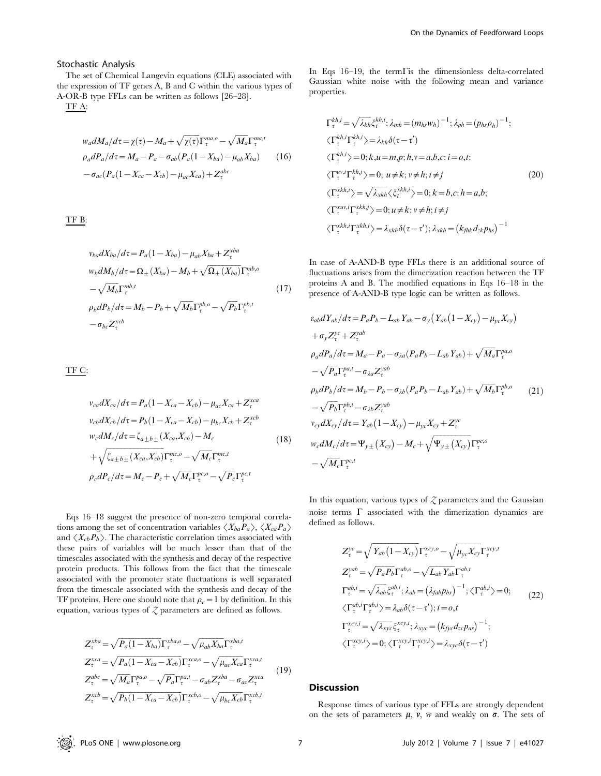#### Stochastic Analysis

The set of Chemical Langevin equations (CLE) associated with the expression of TF genes A, B and C within the various types of A-OR-B type FFLs can be written as follows [26–28].

TF A:

$$
w_a dM_a/d\tau = \chi(\tau) - M_a + \sqrt{\chi(\tau)} \Gamma_{\tau}^{ma,o} - \sqrt{M_a} \Gamma_{\tau}^{ma,t}
$$
  
\n
$$
\rho_a dP_a/d\tau = M_a - P_a - \sigma_{ab} (P_a (1 - X_{ba}) - \mu_{ab} X_{ba})
$$
 (16)  
\n
$$
-\sigma_{ac} (P_a (1 - X_{ca} - X_{cb}) - \mu_{ac} X_{ca}) + Z_{\tau}^{abc}
$$

TF B:

$$
\begin{split} v_{ba} dX_{ba}/d\tau &= P_a (1 - X_{ba}) - \mu_{ab} X_{ba} + Z_{\tau}^{xba} \\ w_b dM_b/d\tau &= \Omega_{\pm} (X_{ba}) - M_b + \sqrt{\Omega_{\pm} (X_{ba})} \Gamma_{\tau}^{mb,o} \\ &- \sqrt{M_b} \Gamma_{\tau}^{mb,t} \end{split} \tag{17}
$$
\n
$$
\rho_b dP_b/d\tau = M_b - P_b + \sqrt{M_b} \Gamma_{\tau}^{pb,o} - \sqrt{P_b} \Gamma_{\tau}^{pb,t} \\ &- \sigma_{bc} Z_{\tau}^{xcb}
$$

TF C:

$$
v_{ca}dX_{ca}/d\tau = P_a(1 - X_{ca} - X_{cb}) - \mu_{ac}X_{ca} + Z_{\tau}^{xca}
$$
  
\n
$$
v_{cb}dX_{cb}/d\tau = P_b(1 - X_{ca} - X_{cb}) - \mu_{bc}X_{cb} + Z_{\tau}^{xcb}
$$
  
\n
$$
w_c dM_c/d\tau = \zeta_{a \pm b \pm}(X_{ca}, X_{cb}) - M_c
$$
  
\n
$$
+ \sqrt{\zeta_{a \pm b \pm}(X_{ca}, X_{cb})} \Gamma_{\tau}^{mc, o} - \sqrt{M_c} \Gamma_{\tau}^{mc, t}
$$
  
\n
$$
\rho_c dP_c/d\tau = M_c - P_c + \sqrt{M_c} \Gamma_{\tau}^{pc, o} - \sqrt{P_c} \Gamma_{\tau}^{pc, t}
$$
\n(18)

Eqs 16–18 suggest the presence of non-zero temporal correlations among the set of concentration variables  $\langle X_{ba}P_a \rangle$ ,  $\langle X_{ca}P_a \rangle$ and  $\langle X_{cb}P_b \rangle$ . The characteristic correlation times associated with these pairs of variables will be much lesser than that of the timescales associated with the synthesis and decay of the respective protein products. This follows from the fact that the timescale associated with the promoter state fluctuations is well separated from the timescale associated with the synthesis and decay of the TF proteins. Here one should note that  $\rho_c=1$  by definition. In this equation, various types of  $Z$  parameters are defined as follows.

$$
Z_{\tau}^{xba} = \sqrt{P_a (1 - X_{ba})} \Gamma_{\tau}^{xba, o} - \sqrt{\mu_{ab} X_{ba}} \Gamma_{\tau}^{xba, t}
$$
  
\n
$$
Z_{\tau}^{xca} = \sqrt{P_a (1 - X_{ca} - X_{cb})} \Gamma_{\tau}^{xca, o} - \sqrt{\mu_{ac} X_{ca}} \Gamma_{\tau}^{xca, t}
$$
  
\n
$$
Z_{\tau}^{abc} = \sqrt{M_a} \Gamma_{\tau}^{p a, o} - \sqrt{P_a} \Gamma_{\tau}^{p a, t} - \sigma_{ab} Z_{\tau}^{xba} - \sigma_{ac} Z_{\tau}^{xca}
$$
  
\n
$$
Z_{\tau}^{xcb} = \sqrt{P_b (1 - X_{ca} - X_{cb})} \Gamma_{\tau}^{xcb, o} - \sqrt{\mu_{bc} X_{cb}} \Gamma_{\tau}^{xcb, t}
$$
  
\n(19)

In Eqs  $16-19$ , the term  $\Gamma$  is the dimensionless delta-correlated Gaussian white noise with the following mean and variance properties.

$$
\Gamma_{\tau}^{kh,i} = \sqrt{\lambda_{kh}} \xi_t^{kh,i}; \lambda_{mh} = (m_{hs}w_h)^{-1}; \lambda_{ph} = (p_{hs}\rho_h)^{-1};
$$
  
\n
$$
\langle \Gamma_{\tau}^{kh,i} \Gamma_{\tau}^{kh,i} \rangle = \lambda_{kh} \delta(\tau - \tau')
$$
  
\n
$$
\langle \Gamma_{\tau}^{kh,i} \rangle = 0; k, u = m, p; h, v = a, b, c; i = o, t;
$$
  
\n
$$
\langle \Gamma_{\tau}^{w,i} \Gamma_{\tau}^{kh,i} \rangle = 0; u \neq k; v \neq h; i \neq j
$$
  
\n
$$
\langle \Gamma_{\tau}^{xkh,i} \rangle = \sqrt{\lambda_{xkh}} \langle \xi_t^{xkh,i} \rangle = 0; k = b, c; h = a, b;
$$
  
\n
$$
\langle \Gamma_{\tau}^{xwh,i} \rangle = \lambda_{xkh} \delta(\tau - \tau'); \lambda_{xkh} = (k_{fhk} d_{zk} p_{hs})^{-1}
$$

In case of A-AND-B type FFLs there is an additional source of fluctuations arises from the dimerization reaction between the TF proteins A and B. The modified equations in Eqs 16–18 in the presence of A-AND-B type logic can be written as follows.

$$
\varepsilon_{ab}dY_{ab}/d\tau = P_aP_b - L_{ab}Y_{ab} - \sigma_y(Y_{ab}(1 - X_{cy}) - \mu_{yc}X_{cy})
$$
  
+  $\sigma_y Z_{\tau}^{yc} + Z_{\tau}^{yab}$   
\n
$$
\rho_a dP_a/d\tau = M_a - P_a - \sigma_{\lambda a}(P_aP_b - L_{ab}Y_{ab}) + \sqrt{M_a}\Gamma_{\tau}^{pa,o}
$$
  
\n
$$
-\sqrt{P_a}\Gamma_{\tau}^{pa,t} - \sigma_{\lambda a}Z_{\tau}^{yab}
$$
  
\n
$$
\rho_b dP_b/d\tau = M_b - P_b - \sigma_{\lambda b}(P_aP_b - L_{ab}Y_{ab}) + \sqrt{M_b}\Gamma_{\tau}^{pb,o}
$$
 (21)  
\n
$$
-\sqrt{P_b}\Gamma_{\tau}^{pb,t} - \sigma_{\lambda b}Z_{\tau}^{yab}
$$
  
\n
$$
v_{cy}dX_{cy}/d\tau = Y_{ab}(1 - X_{cy}) - \mu_{yc}X_{cy} + Z_{\tau}^{yc}
$$
  
\n
$$
w_c dM_c/d\tau = \Psi_{y\pm}(X_{cy}) - M_c + \sqrt{\Psi_{y\pm}(X_{cy})}\Gamma_{\tau}^{pc,o}
$$
  
\n
$$
-\sqrt{M_c}\Gamma_{\tau}^{pc,t}
$$

In this equation, various types of  $Z$  parameters and the Gaussian noise terms  $\Gamma$  associated with the dimerization dynamics are defined as follows.

$$
Z_{\tau}^{yc} = \sqrt{Y_{ab}(1 - X_{cy})} \Gamma_{\tau}^{xcy,o} - \sqrt{\mu_{yc} X_{cy}} \Gamma_{\tau}^{xcy,t}
$$
  
\n
$$
Z_{\tau}^{yab} = \sqrt{P_a P_b} \Gamma_{\tau}^{ab,o} - \sqrt{L_{ab} Y_{ab}} \Gamma_{\tau}^{ab,t}
$$
  
\n
$$
\Gamma_{\tau}^{ab,i} = \sqrt{\lambda_{ab}} \xi_{\tau}^{ab,i}; \lambda_{ab} = (\lambda_{fab} p_{bs})^{-1}; \langle \Gamma_{\tau}^{ab,i} \rangle = 0;
$$
  
\n
$$
\langle \Gamma_{\tau}^{ab,i} \Gamma_{\tau}^{ab,i} \rangle = \lambda_{ab} \delta(\tau - \tau'); i = o, t
$$
  
\n
$$
\Gamma_{\tau}^{xcy,i} = \sqrt{\lambda_{xyc}} \xi_{\tau}^{xcy,i}; \lambda_{xyc} = (k_{fyc} d_{zc} p_{as})^{-1};
$$
  
\n
$$
\langle \Gamma_{\tau}^{xcy,j} \rangle = 0; \langle \Gamma_{\tau}^{xcy,i} \Gamma_{\tau}^{xcy,i} \rangle = \lambda_{xyc} \delta(\tau - \tau')
$$

### Discussion

Response times of various type of FFLs are strongly dependent on the sets of parameters  $\bar{\mu}$ ,  $\bar{\nu}$ ,  $\bar{w}$  and weakly on  $\bar{\sigma}$ . The sets of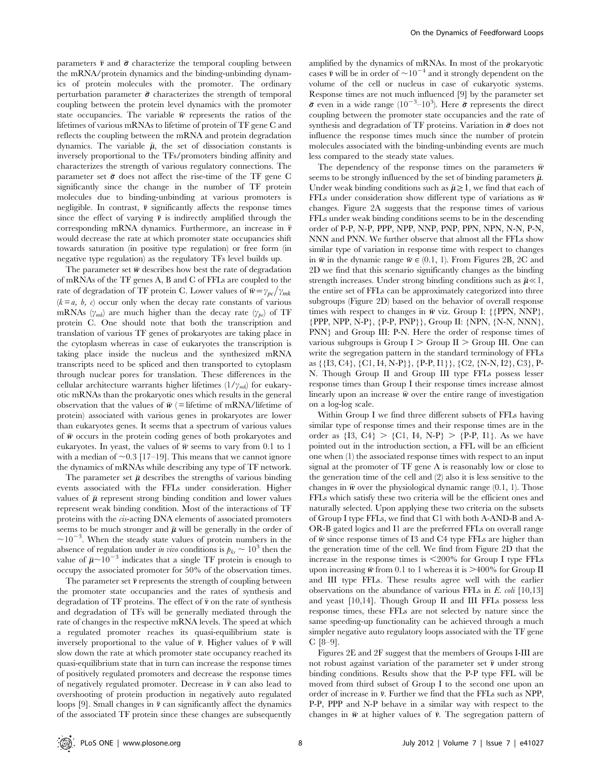parameters  $\bar{\nu}$  and  $\bar{\sigma}$  characterize the temporal coupling between the mRNA/protein dynamics and the binding-unbinding dynamics of protein molecules with the promoter. The ordinary perturbation parameter  $\bar{\sigma}$  characterizes the strength of temporal coupling between the protein level dynamics with the promoter state occupancies. The variable  $\bar{w}$  represents the ratios of the lifetimes of various mRNAs to lifetime of protein of TF gene C and reflects the coupling between the mRNA and protein degradation dynamics. The variable  $\bar{\mu}$ , the set of dissociation constants is inversely proportional to the TFs/promoters binding affinity and characterizes the strength of various regulatory connections. The parameter set  $\bar{\sigma}$  does not affect the rise-time of the TF gene C significantly since the change in the number of TF protein molecules due to binding-unbinding at various promoters is negligible. In contrast,  $\bar{v}$  significantly affects the response times since the effect of varying  $\bar{\nu}$  is indirectly amplified through the corresponding mRNA dynamics. Furthermore, an increase in  $\bar{\nu}$ would decrease the rate at which promoter state occupancies shift towards saturation (in positive type regulation) or free form (in negative type regulation) as the regulatory TFs level builds up.

The parameter set  $\bar{w}$  describes how best the rate of degradation of mRNAs of the TF genes A, B and C of FFLs are coupled to the rate of degradation of TF protein C. Lower values of  $\bar{w} = \gamma_{pc}/\gamma_{mk}$  $(k = a, b, c)$  occur only when the decay rate constants of various mRNAs  $(\gamma_{mk})$  are much higher than the decay rate  $(\gamma_{bc})$  of TF protein C. One should note that both the transcription and translation of various TF genes of prokaryotes are taking place in the cytoplasm whereas in case of eukaryotes the transcription is taking place inside the nucleus and the synthesized mRNA transcripts need to be spliced and then transported to cytoplasm through nuclear pores for translation. These differences in the cellular architecture warrants higher lifetimes  $(1/\gamma_{mk})$  for eukaryotic mRNAs than the prokaryotic ones which results in the general observation that the values of  $\bar{w}$  (= lifetime of mRNA/lifetime of protein) associated with various genes in prokaryotes are lower than eukaryotes genes. It seems that a spectrum of various values of  $\bar{w}$  occurs in the protein coding genes of both prokaryotes and eukaryotes. In yeast, the values of  $\bar{w}$  seems to vary from 0.1 to 1 with a median of  $\sim 0.3$  [17–19]. This means that we cannot ignore the dynamics of mRNAs while describing any type of TF network.

The parameter set  $\bar{\mu}$  describes the strengths of various binding events associated with the FFLs under consideration. Higher values of  $\bar{\mu}$  represent strong binding condition and lower values represent weak binding condition. Most of the interactions of TF proteins with the cis-acting DNA elements of associated promoters seems to be much stronger and  $\bar{\mu}$  will be generally in the order of  $\sim$ 10<sup>-3</sup>. When the steady state values of protein numbers in the absence of regulation under in vivo conditions is  $p_{ks} \sim 10^3$  then the value of  $\bar{\mu}$ ~10<sup>-3</sup> indicates that a single TF protein is enough to occupy the associated promoter for 50% of the observation times.

The parameter set  $\bar{\nu}$  represents the strength of coupling between the promoter state occupancies and the rates of synthesis and degradation of TF proteins. The effect of  $\bar{\nu}$  on the rate of synthesis and degradation of TFs will be generally mediated through the rate of changes in the respective mRNA levels. The speed at which a regulated promoter reaches its quasi-equilibrium state is inversely proportional to the value of  $\bar{\nu}$ . Higher values of  $\bar{\nu}$  will slow down the rate at which promoter state occupancy reached its quasi-equilibrium state that in turn can increase the response times of positively regulated promoters and decrease the response times of negatively regulated promoter. Decrease in  $\bar{\nu}$  can also lead to overshooting of protein production in negatively auto regulated loops [9]. Small changes in  $\bar{\nu}$  can significantly affect the dynamics of the associated TF protein since these changes are subsequently

amplified by the dynamics of mRNAs. In most of the prokaryotic cases  $\bar{v}$  will be in order of  $\sim 10^{-4}$  and it strongly dependent on the volume of the cell or nucleus in case of eukaryotic systems. Response times are not much influenced [9] by the parameter set  $\bar{\sigma}$  even in a wide range (10<sup>-3</sup>-10<sup>3</sup>). Here  $\bar{\sigma}$  represents the direct coupling between the promoter state occupancies and the rate of synthesis and degradation of TF proteins. Variation in  $\bar{\sigma}$  does not influence the response times much since the number of protein molecules associated with the binding-unbinding events are much less compared to the steady state values.

The dependency of the response times on the parameters  $\bar{w}$ seems to be strongly influenced by the set of binding parameters  $\bar{\mu}$ . Under weak binding conditions such as  $\bar{\mu} \geq 1$ , we find that each of FFLs under consideration show different type of variations as  $\bar{w}$ changes. Figure 2A suggests that the response times of various FFLs under weak binding conditions seems to be in the descending order of P-P, N-P, PPP, NPP, NNP, PNP, PPN, NPN, N-N, P-N, NNN and PNN. We further observe that almost all the FFLs show similar type of variation in response time with respect to changes in  $\bar{w}$  in the dynamic range  $\bar{w} \in (0.1, 1)$ . From Figures 2B, 2C and 2D we find that this scenario significantly changes as the binding strength increases. Under strong binding conditions such as  $\bar{\mu} \ll 1$ , the entire set of FFLs can be approximately categorized into three subgroups (Figure 2D) based on the behavior of overall response times with respect to changes in  $\bar{w}$  viz. Group I: {{PPN, NNP}, {PPP, NPP, N-P}, {P-P, PNP}}, Group II: {NPN, {N-N, NNN}, PNN} and Group III: P-N. Here the order of response times of various subgroups is Group  $I > G$ roup  $II > G$ roup III. One can write the segregation pattern in the standard terminology of FFLs as {{I3, C4}, {C1, I4, N-P}}, {P-P, I1}}, {C2, {N-N, I2}, C3}, P-N. Though Group II and Group III type FFLs possess lesser response times than Group I their response times increase almost linearly upon an increase  $\bar{w}$  over the entire range of investigation on a log-log scale.

Within Group I we find three different subsets of FFLs having similar type of response times and their response times are in the order as  ${13, C4} > {C1, I4, N-P} > {P-P, I1}$ . As we have pointed out in the introduction section, a FFL will be an efficient one when (1) the associated response times with respect to an input signal at the promoter of TF gene A is reasonably low or close to the generation time of the cell and (2) also it is less sensitive to the changes in  $\bar{w}$  over the physiological dynamic range (0.1, 1). Those FFLs which satisfy these two criteria will be the efficient ones and naturally selected. Upon applying these two criteria on the subsets of Group I type FFLs, we find that C1 with both A-AND-B and A-OR-B gated logics and I1 are the preferred FFLs on overall range of  $\bar{w}$  since response times of I3 and C4 type FFLs are higher than the generation time of the cell. We find from Figure 2D that the increase in the response times is  $<200\%$  for Group I type FFLs upon increasing  $\bar{w}$  from 0.1 to 1 whereas it is >400% for Group II and III type FFLs. These results agree well with the earlier observations on the abundance of various FFLs in E. coli [10,13] and yeast [10,14]. Though Group II and III FFLs possess less response times, these FFLs are not selected by nature since the same speeding-up functionality can be achieved through a much simpler negative auto regulatory loops associated with the TF gene  $C$  [8–9].

Figures 2E and 2F suggest that the members of Groups I-III are not robust against variation of the parameter set  $\bar{\nu}$  under strong binding conditions. Results show that the P-P type FFL will be moved from third subset of Group I to the second one upon an order of increase in  $\bar{\nu}$ . Further we find that the FFLs such as NPP, P-P, PPP and N-P behave in a similar way with respect to the changes in  $\bar{w}$  at higher values of  $\bar{v}$ . The segregation pattern of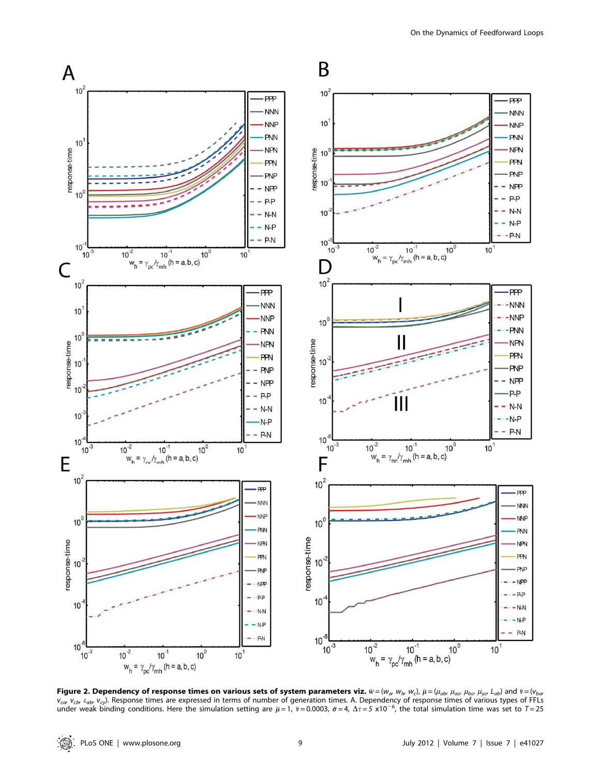

Figure 2. Dependency of response times on various sets of system parameters viz.  $\bar w$  = (w<sub>a</sub>, w<sub>b</sub>, w<sub>c</sub>),  $\bar\mu$  = ( $\mu_{ab}$   $\mu_{ac}$   $\mu_{bc}$   $\mu_{yo}$   $L_{ab}$ ) and  $\bar v$  = (v $_{ba}$  $v_{\mathit{cav}}$   $v_{\mathit{cbb}}$   $v_{\mathit{cyl}}$ . Response times are expressed in terms of number of generation times. A. Dependency of response times of various types of FFLs under weak binding conditions. Here the simulation setting are  $\bar{\mu} = 1$ ,  $\bar{v} = 0.0003$ ,  $\bar{\sigma} = 4$ ,  $\Delta \tau = 5 \times 10^{-6}$ , the total simulation time was set to  $T = 25$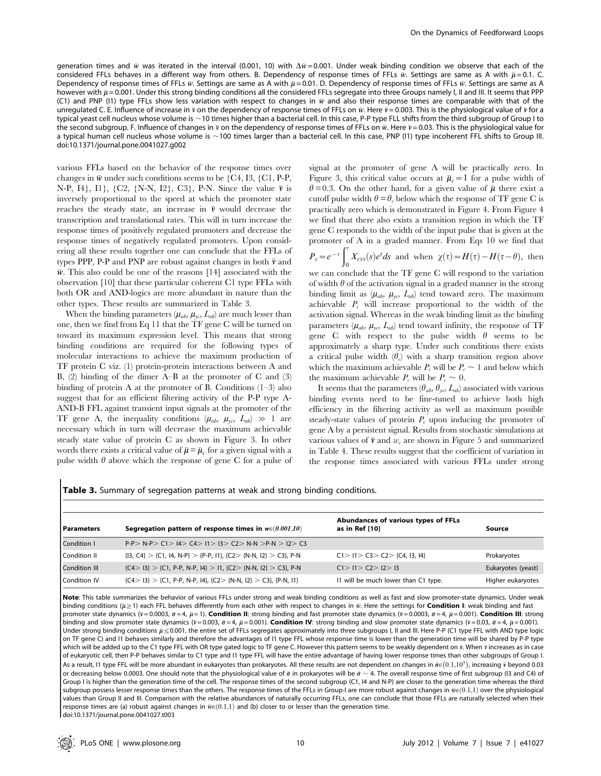generation times and  $\bar{w}$  was iterated in the interval (0.001, 10) with  $\Delta \bar{w}$  = 0.001. Under weak binding condition we observe that each of the considered FFLs behaves in a different way from others. B. Dependency of response times of FFLs  $\bar{w}$ . Settings are same as A with  $\bar{\mu}$  = 0.1. C. Dependency of response times of FFLs  $\bar{w}$ . Settings are same as A with  $\bar{\mu}$  = 0.01. D. Dependency of response times of FFLs  $\bar{w}$ . Settings are same as A however with  $\bar{\mu}$  = 0.001. Under this strong binding conditions all the considered FFLs segregate into three Groups namely I, II and III. It seems that PPP (C1) and PNP (I1) type FFLs show less variation with respect to changes in  $\bar{w}$  and also their response times are comparable with that of the unregulated C. E. Influence of increase in  $\bar{\nu}$  on the dependency of response times of FFLs on  $\bar{w}$ . Here  $\bar{\nu}$  = 0.003. This is the physiological value of  $\bar{\nu}$  for a typical yeast cell nucleus whose volume is ~10 times higher than a bacterial cell. In this case, P-P type FLL shifts from the third subgroup of Group I to the second subgroup. F. Influence of changes in  $\bar{\nu}$  on the dependency of response times of FFLs on  $\bar{w}$ . Here  $\bar{\nu}$  = 0.03. This is the physiological value for a typical human cell nucleus whose volume is ~100 times larger than a bacterial cell. In this case, PNP (I1) type incoherent FFL shifts to Group III. doi:10.1371/journal.pone.0041027.g002

various FFLs based on the behavior of the response times over changes in  $\bar{w}$  under such conditions seems to be {C4, I3, {C1, P-P, N-P, I4}, I1},  $\{C2, \{N-N, I2\}, C3\}$ , P-N. Since the value  $\bar{\nu}$  is inversely proportional to the speed at which the promoter state reaches the steady state, an increase in  $\bar{v}$  would decrease the transcription and translational rates. This will in turn increase the response times of positively regulated promoters and decrease the response times of negatively regulated promoters. Upon considering all these results together one can conclude that the FFLs of types PPP, P-P and PNP are robust against changes in both  $\bar{\nu}$  and  $\bar{w}$ . This also could be one of the reasons [14] associated with the observation [10] that these particular coherent C1 type FFLs with both OR and AND-logics are more abundant in nature than the other types. These results are summarized in Table 3.

When the binding parameters  $(\mu_{ab}, \mu_{yc}, L_{ab})$  are much lesser than one, then we find from Eq 11 that the TF gene C will be turned on toward its maximum expression level. This means that strong binding conditions are required for the following types of molecular interactions to achieve the maximum production of TF protein C viz. (1) protein-protein interactions between A and B, (2) binding of the dimer A–B at the promoter of C and (3) binding of protein A at the promoter of B. Conditions  $(1-3)$  also suggest that for an efficient filtering activity of the P-P type A-AND-B FFL against transient input signals at the promoter of the TF gene A, the inequality conditions  $(\mu_{ab}, \mu_{yc}, L_{ab}) \gg 1$  are necessary which in turn will decrease the maximum achievable steady state value of protein C as shown in Figure 3. In other words there exists a critical value of  $\bar{\mu} = \bar{\mu}_c$  for a given signal with a pulse width  $\theta$  above which the response of gene C for a pulse of

signal at the promoter of gene A will be practically zero. In Figure 3, this critical value occurs at  $\bar{\mu}_c = 1$  for a pulse width of  $\theta = 0.3$ . On the other hand, for a given value of  $\bar{\mu}$  there exist a cutoff pulse width  $\theta = \theta_c$  below which the response of TF gene C is practically zero which is demonstrated in Figure 4. From Figure 4 we find that there also exists a transition region in which the TF gene C responds to the width of the input pulse that is given at the promoter of A in a graded manner. From Eqs 10 we find that

$$
P_c = e^{-\tau} \int_0^{\tau} X_{cys}(s) e^{s} ds
$$
 and when  $\chi(\tau) = H(\tau) - H(\tau - \theta)$ , then

we can conclude that the TF gene C will respond to the variation of width  $\theta$  of the activation signal in a graded manner in the strong binding limit as  $(\mu_{ab}, \mu_{yc}, L_{ab})$  tend toward zero. The maximum achievable  $P_c$  will increase proportional to the width of the activation signal. Whereas in the weak binding limit as the binding parameters  $(\mu_{ab}, \mu_{yc}, L_{ab})$  tend toward infinity, the response of TF gene C with respect to the pulse width  $\theta$  seems to be approximately a sharp type. Under such conditions there exists a critical pulse width  $(\theta_c)$  with a sharp transition region above which the maximum achievable  $P_c$  will be  $P_c \sim 1$  and below which the maximum achievable  $P_c$  will be  $P_c \sim 0$ .

It seems that the parameters ( $\theta_{ab}$ ,  $\theta_{yc}$ ,  $L_{ab}$ ) associated with various binding events need to be fine-tuned to achieve both high efficiency in the filtering activity as well as maximum possible steady-state values of protein  $P_c$  upon inducing the promoter of gene A by a persistent signal. Results from stochastic simulations at various values of  $\bar{v}$  and  $w_c$  are shown in Figure 5 and summarized in Table 4. These results suggest that the coefficient of variation in the response times associated with various FFLs under strong

| <b>Table 3.</b> Summary of segregation patterns at weak and strong binding conditions. |  |  |  |  |  |  |
|----------------------------------------------------------------------------------------|--|--|--|--|--|--|
|----------------------------------------------------------------------------------------|--|--|--|--|--|--|

| l Parameters  | Segregation pattern of response times in $w \in (0.001, 10)$                 | Abundances of various types of FFLs<br>as in Ref [10] | Source             |  |
|---------------|------------------------------------------------------------------------------|-------------------------------------------------------|--------------------|--|
| Condition I   | P-P> N-P> C1> I4> C4> I1> I3> C2> N-N >P-N > I2> C3                          |                                                       |                    |  |
| Condition II  | $\{13, C4\} > \{C1, 14, N-P\} > \{P-P, 11\}, \{C2 > \{N-N, 12\} > C3\}, P-N$ | C1 > 11 > C3 > C2 > (C4, 13, 14)                      | Prokaryotes        |  |
| Condition III | ${C4 > 13} > {C1, P-P, N-P, 14} > 11, {C2 > 1N-N, 12} > C3, P-N$             | C1 > 11 > C2 > 12 > 13                                | Eukaryotes (yeast) |  |
| Condition IV  | ${C4 > 13} > {C1, P-P, N-P, 14}, {C2 > {N-N, 12} > C3}, {P-N, 11}$           | 11 will be much lower than C1 type.                   | Higher eukaryotes  |  |

Note: This table summarizes the behavior of various FFLs under strong and weak binding conditions as well as fast and slow promoter-state dynamics. Under weak binding conditions ( $\bar{\mu}$  and FFL behaves differently from each other with respect to changes in  $\bar{w}$ . Here the settings for Condition I: weak binding and fast promoter state dynamics ( $\bar{v}$  = 0.0003,  $\bar{\sigma}$  = 4,  $\bar{\mu}$  = 1). Condition II: strong binding and fast promoter state dynamics ( $\bar{v}$  = 0.0003,  $\bar{\sigma}$  = 4,  $\bar{\mu}$  = 0.001). Condition III: strong binding and slow promoter state dynamics ( $\bar{v}$  = 0.003,  $\bar{\sigma}$  = 4,  $\bar{\mu}$  = 0.001). **Condition IV**: strong binding and slow promoter state dynamics ( $\bar{v}$  = 0.03,  $\bar{\sigma}$  = 4,  $\bar{\mu}$  = 0.001). Under strong binding conditions  $\bar{\mu} \leq 0.001$ , the entire set of FFLs segregates approximately into three subgroups I, II and III. Here P-P (C1 type FFL with AND type logic on TF gene C) and I1 behaves similarly and therefore the advantages of I1 type FFL whose response time is lower than the generation time will be shared by P-P type which will be added up to the C1 type FFL with OR type gated logic to TF gene C. However this pattern seems to be weakly dependent on ⊽. When ⊽ increases as in case of eukaryotic cell, then P-P behaves similar to C1 type and I1 type FFL will have the entire advantage of having lower response times than other subgroups of Group I. or sallaryour surface that the summer of the process than prokaryotes. All these results are not dependent on changes in  $\bar{\sigma}e(0.1,10^3)$ , increasing  $\bar{v}$  beyond 0.03<br>As a result, 11 type FFL will be more abundant in or decreasing below 0.0003. One should note that the physiological value of  $\bar{\sigma}$  in prokaryotes will be  $\bar{\sigma} \sim 4$ . The overall response time of first subgroup (I3 and C4) of Group I is higher than the generation time of the cell. The response times of the second subgroup (C1, I4 and N-P) are closer to the generation time whereas the third subgroup possess lesser response times than the others. The response times of the FFLs in Group-I are more robust against changes in  $\bar{w} \in (0.1,1)$  over the physiological values than Group II and III. Comparison with the relative abundances of naturally occurring FFLs, one can conclude that those FFLs are naturally selected when their response times are (a) robust against changes in  $\bar{w} \in (0.1,1)$  and (b) closer to or lesser than the generation time. doi:10.1371/journal.pone.0041027.t003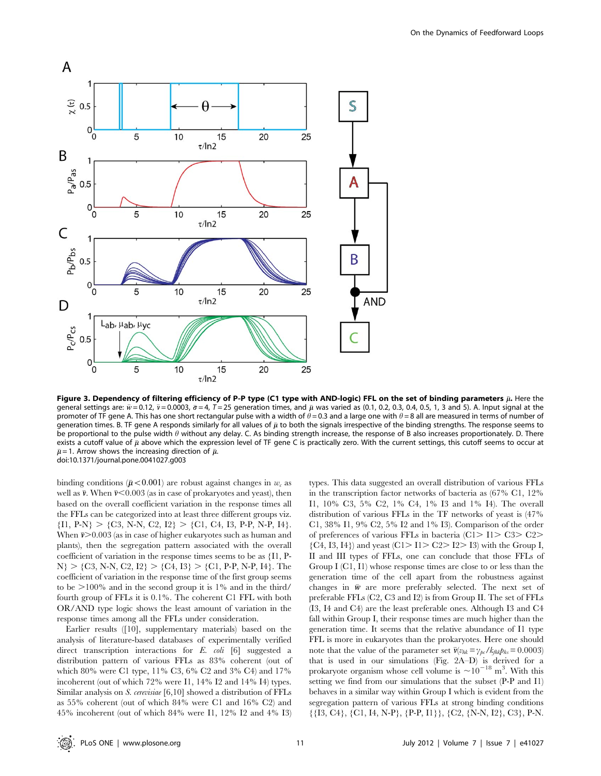![](_page_10_Figure_1.jpeg)

Figure 3. Dependency of filtering efficiency of P-P type (C1 type with AND-logic) FFL on the set of binding parameters  $\bar\mu$ . Here the general settings are:  $\bar{w}$  = 0.12,  $\bar{v}$  = 0.0003,  $\bar{\sigma}$  = 4, T = 25 generation times, and  $\bar{\mu}$  was varied as (0.1, 0.2, 0.3, 0.4, 0.5, 1, 3 and 5). A. Input signal at the promoter of TF gene A. This has one short rectangular pulse with a width of  $\theta$  = 0.3 and a large one with  $\theta$  = 8 all are measured in terms of number of generation times. B. TF gene A responds similarly for all values of  $\bar\mu$  to both the signals irrespective of the binding strengths. The response seems to be proportional to the pulse width  $\theta$  without any delay. C. As binding strength increase, the response of B also increases proportionately. D. There exists a cutoff value of  $\bar\mu$  above which the expression level of TF gene C is practically zero. With the current settings, this cutoff seems to occur at  $\bar{\mu}$ =1. Arrow shows the increasing direction of  $\bar{\mu}$ . doi:10.1371/journal.pone.0041027.g003

binding conditions ( $\bar{\mu}$ <0.001) are robust against changes in  $w_c$  as well as  $\bar{\nu}$ . When  $\bar{\nu}$ <0.003 (as in case of prokaryotes and yeast), then based on the overall coefficient variation in the response times all the FFLs can be categorized into at least three different groups viz.  ${I1, P-N} > {C3, N-N, C2, I2} > {C1, C4, I3, P-P, N-P, I4}.$ When  $\bar{v}$  > 0.003 (as in case of higher eukaryotes such as human and plants), then the segregation pattern associated with the overall coefficient of variation in the response times seems to be as {I1, P- $N$  > {C3, N-N, C2, I2} > {C4, I3} > {C1, P-P, N-P, I4}. The coefficient of variation in the response time of the first group seems to be  $>100\%$  and in the second group it is 1% and in the third/ fourth group of FFLs it is 0.1%. The coherent C1 FFL with both OR/AND type logic shows the least amount of variation in the response times among all the FFLs under consideration.

Earlier results ([10], supplementary materials) based on the analysis of literature-based databases of experimentally verified direct transcription interactions for E. coli [6] suggested a distribution pattern of various FFLs as 83% coherent (out of which 80% were C1 type, 11% C3, 6% C2 and 3% C4) and 17% incoherent (out of which 72% were I1, 14% I2 and 14% I4) types. Similar analysis on S. cerevisiae [6,10] showed a distribution of FFLs as 55% coherent (out of which 84% were C1 and 16% C2) and 45% incoherent (out of which 84% were I1, 12% I2 and 4% I3)

types. This data suggested an overall distribution of various FFLs in the transcription factor networks of bacteria as (67% C1, 12% I1, 10% C3, 5% C2, 1% C4, 1% I3 and 1% I4). The overall distribution of various FFLs in the TF networks of yeast is (47% C1, 38% I1, 9% C2, 5% I2 and 1% I3). Comparison of the order of preferences of various FFLs in bacteria (C1 $>$  I1 $>$  C3 $>$  C2 $>$  $\{C4, I3, I4\}$  and yeast  $(C1 > I1 > C2 > I2 > I3)$  with the Group I, II and III types of FFLs, one can conclude that those FFLs of Group I (C1, I1) whose response times are close to or less than the generation time of the cell apart from the robustness against changes in  $\bar{w}$  are more preferably selected. The next set of preferable FFLs (C2, C3 and I2) is from Group II. The set of FFLs (I3, I4 and C4) are the least preferable ones. Although I3 and C4 fall within Group I, their response times are much higher than the generation time. It seems that the relative abundance of I1 type FFL is more in eukaryotes than the prokaryotes. Here one should note that the value of the parameter set  $\bar{\mathbf{v}}(v_{hk} = \gamma_{pc}/k_{fhk}p_{hs} = 0.0003)$ that is used in our simulations (Fig. 2A–D) is derived for a prokaryote organism whose cell volume is  $\sim 10^{-18}$  m<sup>3</sup>. With this setting we find from our simulations that the subset (P-P and I1) behaves in a similar way within Group I which is evident from the segregation pattern of various FFLs at strong binding conditions  $\{\{I3, C4\}, \{C1, I4, N-P\}, \{P-P, I1\}\}, \{C2, \{N-N, I2\}, C3\}, P-N.$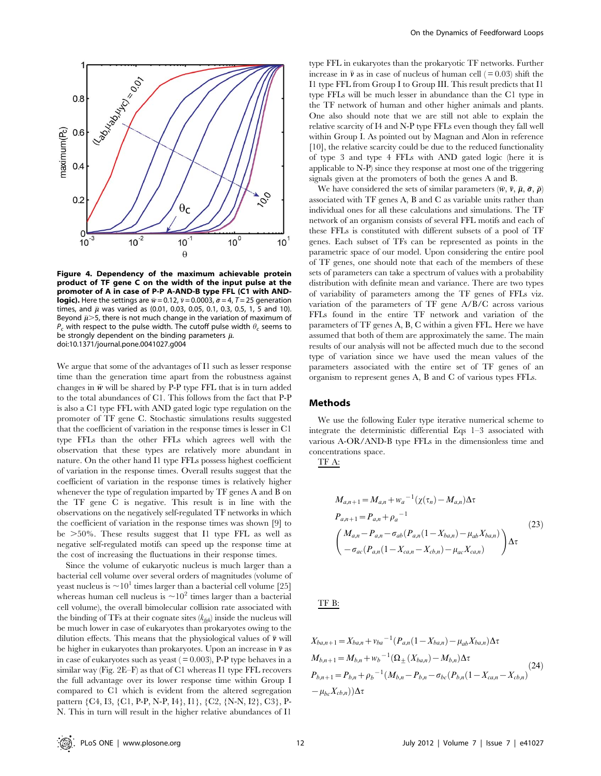![](_page_11_Figure_0.jpeg)

Figure 4. Dependency of the maximum achievable protein product of TF gene C on the width of the input pulse at the promoter of A in case of P-P A-AND-B type FFL (C1 with AND**logic).** Here the settings are  $\bar{w} = 0.12$ ,  $\bar{v} = 0.0003$ ,  $\bar{\sigma} = 4$ ,  $T = 25$  generation times, and  $\bar{\mu}$  was varied as (0.01, 0.03, 0.05, 0.1, 0.3, 0.5, 1, 5 and 10). Beyond  $\bar{\mu}$  >5, there is not much change in the variation of maximum of  $P_c$  with respect to the pulse width. The cutoff pulse width  $\theta_c$  seems to be strongly dependent on the binding parameters  $\bar{\mu}$ . doi:10.1371/journal.pone.0041027.g004

We argue that some of the advantages of I1 such as lesser response time than the generation time apart from the robustness against changes in  $\bar{w}$  will be shared by P-P type FFL that is in turn added to the total abundances of C1. This follows from the fact that P-P is also a C1 type FFL with AND gated logic type regulation on the promoter of TF gene C. Stochastic simulations results suggested that the coefficient of variation in the response times is lesser in C1 type FFLs than the other FFLs which agrees well with the observation that these types are relatively more abundant in nature. On the other hand I1 type FFLs possess highest coefficient of variation in the response times. Overall results suggest that the coefficient of variation in the response times is relatively higher whenever the type of regulation imparted by TF genes A and B on the TF gene C is negative. This result is in line with the observations on the negatively self-regulated TF networks in which the coefficient of variation in the response times was shown [9] to be  $>50\%$ . These results suggest that I1 type FFL as well as negative self-regulated motifs can speed up the response time at the cost of increasing the fluctuations in their response times.

Since the volume of eukaryotic nucleus is much larger than a bacterial cell volume over several orders of magnitudes (volume of yeast nucleus is  $\sim 10^1$  times larger than a bacterial cell volume [25] whereas human cell nucleus is  $\sim 10^2$  times larger than a bacterial cell volume), the overall bimolecular collision rate associated with the binding of TFs at their cognate sites  $(k_{\text{fab}})$  inside the nucleus will be much lower in case of eukaryotes than prokaryotes owing to the dilution effects. This means that the physiological values of  $\bar{\nu}$  will be higher in eukaryotes than prokaryotes. Upon an increase in  $\bar{\nu}$  as in case of eukaryotes such as yeast  $( = 0.003)$ , P-P type behaves in a similar way (Fig. 2E–F) as that of C1 whereas I1 type FFL recovers the full advantage over its lower response time within Group I compared to C1 which is evident from the altered segregation pattern {C4, I3, {C1, P-P, N-P, I4}, I1}, {C2, {N-N, I2}, C3}, P-N. This in turn will result in the higher relative abundances of I1

type FFL in eukaryotes than the prokaryotic TF networks. Further increase in  $\bar{v}$  as in case of nucleus of human cell (=0.03) shift the I1 type FFL from Group I to Group III. This result predicts that I1 type FFLs will be much lesser in abundance than the C1 type in the TF network of human and other higher animals and plants. One also should note that we are still not able to explain the relative scarcity of I4 and N-P type FFLs even though they fall well within Group I. As pointed out by Magnan and Alon in reference [10], the relative scarcity could be due to the reduced functionality of type 3 and type 4 FFLs with AND gated logic (here it is applicable to N-P) since they response at most one of the triggering signals given at the promoters of both the genes A and B.

We have considered the sets of similar parameters  $(\bar{w}, \bar{v}, \bar{\mu}, \bar{\sigma}, \bar{\rho})$ associated with TF genes A, B and C as variable units rather than individual ones for all these calculations and simulations. The TF network of an organism consists of several FFL motifs and each of these FFLs is constituted with different subsets of a pool of TF genes. Each subset of TFs can be represented as points in the parametric space of our model. Upon considering the entire pool of TF genes, one should note that each of the members of these sets of parameters can take a spectrum of values with a probability distribution with definite mean and variance. There are two types of variability of parameters among the TF genes of FFLs viz. variation of the parameters of TF gene A/B/C across various FFLs found in the entire TF network and variation of the parameters of TF genes A, B, C within a given FFL. Here we have assumed that both of them are approximately the same. The main results of our analysis will not be affected much due to the second type of variation since we have used the mean values of the parameters associated with the entire set of TF genes of an organism to represent genes A, B and C of various types FFLs.

#### Methods

We use the following Euler type iterative numerical scheme to integrate the deterministic differential Eqs 1–3 associated with various A-OR/AND-B type FFLs in the dimensionless time and concentrations space.

TF A:

$$
M_{a,n+1} = M_{a,n} + w_a^{-1}(\chi(\tau_n) - M_{a,n})\Delta\tau
$$
  
\n
$$
P_{a,n+1} = P_{a,n} + \rho_a^{-1}
$$
  
\n
$$
\begin{pmatrix} M_{a,n} - P_{a,n} - \sigma_{ab}(P_{a,n}(1 - X_{ba,n}) - \mu_{ab}X_{ba,n}) \\ -\sigma_{ac}(P_{a,n}(1 - X_{ca,n} - X_{cb,n}) - \mu_{ac}X_{ca,n}) \end{pmatrix} \Delta\tau
$$
\n(23)

# TF B:

$$
X_{ba,n+1} = X_{ba,n} + v_{ba}^{-1} (P_{a,n} (1 - X_{ba,n}) - \mu_{ab} X_{ba,n}) \Delta \tau
$$
  
\n
$$
M_{b,n+1} = M_{b,n} + w_b^{-1} (\Omega_{\pm} (X_{ba,n}) - M_{b,n}) \Delta \tau
$$
  
\n
$$
P_{b,n+1} = P_{b,n} + \rho_b^{-1} (M_{b,n} - P_{b,n} - \sigma_{bc} (P_{b,n} (1 - X_{ca,n} - X_{cb,n})) - \mu_{bc} X_{cb,n}) \Delta \tau
$$
\n(24)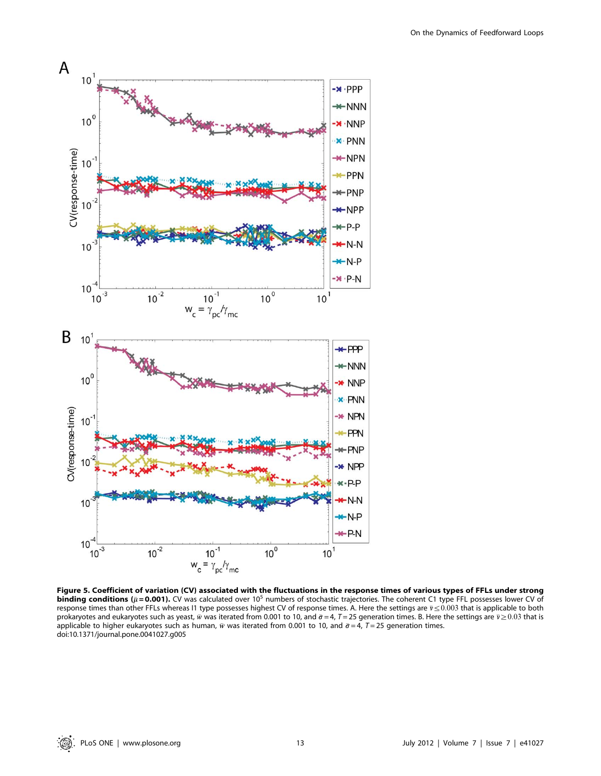![](_page_12_Figure_1.jpeg)

Figure 5. Coefficient of variation (CV) associated with the fluctuations in the response times of various types of FFLs under strong **binding conditions** ( $\bar{\mu}$  = 0.001). CV was calculated over 10<sup>5</sup> numbers of stochastic trajectories. The coherent C1 type FFL possesses lower CV of response times than other FFLs whereas I1 type possesses highest CV of response times. A. Here the settings are  $\bar{v} \le 0.003$  that is applicable to both prokaryotes and eukaryotes such as yeast,  $\bar{w}$  was iterated from 0.001 to 10, and  $\bar{\sigma} = 4$ ,  $T = 25$  generation times. B. Here the settings are  $\bar{v} \ge 0.03$  that is applicable to higher eukaryotes such as human,  $\bar{w}$  was iterated from 0.001 to 10, and  $\bar{\sigma}$  = 4, T = 25 generation times. doi:10.1371/journal.pone.0041027.g005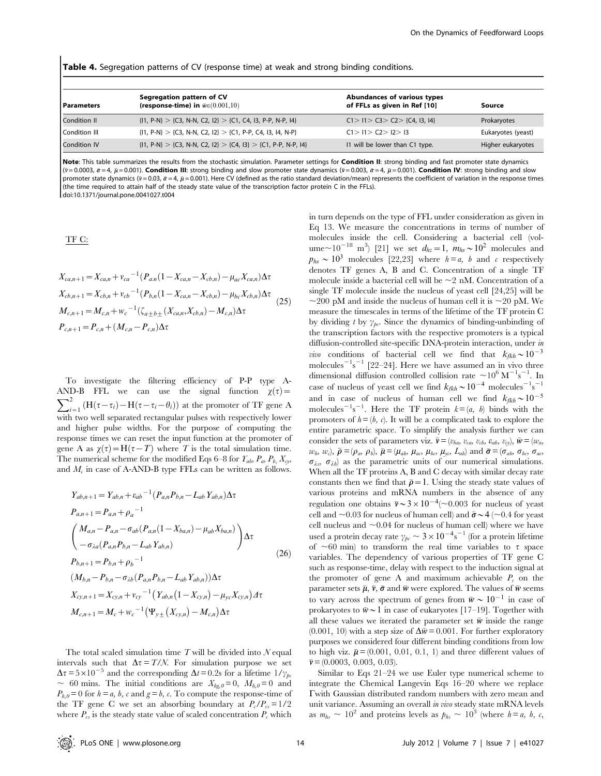| Table 4. Segregation patterns of CV (response time) at weak and strong binding conditions. |  |  |  |  |  |
|--------------------------------------------------------------------------------------------|--|--|--|--|--|
|--------------------------------------------------------------------------------------------|--|--|--|--|--|

| l Parameters        | Segregation pattern of CV<br>(response-time) in $\bar{w} \in (0.001, 10)$ | Abundances of various types<br>of FFLs as given in Ref [10] | Source             |
|---------------------|---------------------------------------------------------------------------|-------------------------------------------------------------|--------------------|
| <b>Condition II</b> | $\{11, P-N\} > \{C3, N-N, C2, 12\} > \{C1, CA, 13, P-P, N-P, 14\}$        | C1 > 11 > C3 > C2 > (C4, 13, 14)                            | Prokaryotes        |
| Condition III       | $\{11, P-N\} > \{C3, N-N, C2, 12\} > \{C1, P-P, C4, 13, 14, N-P\}$        | C1 > 11 > C2 > 12 > 13                                      | Eukaryotes (yeast) |
| <b>Condition IV</b> | $\{11, P-N\} > \{C3, N-N, C2, 12\} > \{C4, 13\} > \{C1, P-P, N-P, 14\}$   | 11 will be lower than C1 type.                              | Higher eukaryotes  |

Note: This table summarizes the results from the stochastic simulation. Parameter settings for Condition II: strong binding and fast promoter state dynamics  $(\bar{v} = 0.0003, \bar{\sigma} = 4, \bar{\mu} = 0.001)$ . Condition III: strong binding and slow promoter state dynamics ( $\bar{v} = 0.003, \bar{\sigma} = 4, \bar{\mu} = 0.001$ ). Condition IV: strong binding and slow promoter state dynamics ( $\bar{v}$  = 0.03,  $\bar{\sigma}$  = 4,  $\bar{\mu}$  = 0.001). Here CV (defined as the ratio standard deviation/mean) represents the coefficient of variation in the response times (the time required to attain half of the steady state value of the transcription factor protein C in the FFLs). doi:10.1371/journal.pone.0041027.t004

TF C:

$$
X_{ca,n+1} = X_{ca,n} + v_{ca}^{-1} (P_{a,n} (1 - X_{ca,n} - X_{cb,n}) - \mu_{ac} X_{ca,n}) \Delta \tau
$$
  
\n
$$
X_{cb,n+1} = X_{cb,n} + v_{cb}^{-1} (P_{b,n} (1 - X_{ca,n} - X_{cb,n}) - \mu_{bc} X_{cb,n}) \Delta \tau
$$
  
\n
$$
M_{c,n+1} = M_{c,n} + w_c^{-1} (\zeta_{a \pm b \pm} (X_{ca,n}, X_{cb,n}) - M_{c,n}) \Delta \tau
$$
  
\n
$$
P_{c,n+1} = P_{c,n} + (M_{c,n} - P_{c,n}) \Delta \tau
$$
\n(25)

To investigate the filtering efficiency of P-P type A- $\sum_{i=1}^{2} \left( H(\tau - \tau_i) - H(\tau - \tau_i - \theta_i) \right)$  at the promoter of TF gene A AND-B FFL we can use the signal function  $\chi(\tau) =$ with two well separated rectangular pulses with respectively lower and higher pulse widths. For the purpose of computing the response times we can reset the input function at the promoter of gene A as  $\chi(\tau) = H(\tau - T)$  where T is the total simulation time. The numerical scheme for the modified Eqs 6–8 for  $\mathcal{Y}_{ab}$ ,  $P_a$ ,  $P_b$ ,  $X_{cy}$ , and  $M_c$  in case of A-AND-B type FFLs can be written as follows.

$$
Y_{ab,n+1} = Y_{ab,n} + \varepsilon_{ab}^{-1} (P_{a,n} P_{b,n} - L_{ab} Y_{ab,n}) \Delta \tau
$$
  
\n
$$
P_{a,n+1} = P_{a,n} + \rho_a^{-1}
$$
  
\n
$$
\begin{pmatrix} M_{a,n} - P_{a,n} - \sigma_{ab} (P_{a,n} (1 - X_{ba,n}) - \mu_{ab} X_{ba,n}) \\ -\sigma_{\lambda a} (P_{a,n} P_{b,n} - L_{ab} Y_{ab,n}) \end{pmatrix} \Delta \tau
$$
  
\n
$$
P_{b,n+1} = P_{b,n} + \rho_b^{-1}
$$
  
\n
$$
(M_{b,n} - P_{b,n} - \sigma_{\lambda b} (P_{a,n} P_{b,n} - L_{ab} Y_{ab,n})) \Delta \tau
$$
  
\n
$$
X_{cy,n+1} = X_{cy,n} + v_{cy}^{-1} (Y_{ab,n} (1 - X_{cy,n}) - \mu_{yc} X_{cy,n}) \Delta \tau
$$
  
\n
$$
M_{c,n+1} = M_c + w_c^{-1} (\Psi_{y \pm} (X_{cy,n}) - M_{c,n}) \Delta \tau
$$

The total scaled simulation time  $T$  will be divided into  $N$  equal intervals such that  $\Delta \tau = T/N$ . For simulation purpose we set  $\Delta \tau = 5 \times 10^{-5}$  and the corresponding  $\Delta t = 0.2$ s for a lifetime  $1/\gamma_{pe}$ ~ 60 mins. The initial conditions are  $X_{he,0}=0$ ,  $M_{h,0}=0$  and  $P_{h,0}=0$  for  $h \equiv a, b, c$  and  $g \equiv b, c$ . To compute the response-time of the TF gene C we set an absorbing boundary at  $P_c/P_{cs} = 1/2$ where  $P_{cs}$  is the steady state value of scaled concentration  $P_c$  which

in turn depends on the type of FFL under consideration as given in Eq 13. We measure the concentrations in terms of number of molecules inside the cell. Considering a bacterial cell (volume $\sim$ 10<sup>-18</sup> m<sup>3</sup>) [21] we set  $d_{hz}$  = 1,  $m_{hs} \sim 10^2$  molecules and  $p_{hs} \sim 10^3$  molecules [22,23] where  $h = a$ , b and c respectively denotes TF genes A, B and C. Concentration of a single TF molecule inside a bacterial cell will be  $\sim$ 2 nM. Concentration of a single TF molecule inside the nucleus of yeast cell [24,25] will be  $\sim$ 200 pM and inside the nucleus of human cell it is  $\sim$ 20 pM. We measure the timescales in terms of the lifetime of the TF protein C by dividing t by  $\gamma_{bc}$ . Since the dynamics of binding-unbinding of the transcription factors with the respective promoters is a typical diffusion-controlled site-specific DNA-protein interaction, under in *vivo* conditions of bacterial cell we find that  $k_{fkh} \sim 10^{-3}$ molecules<sup> $-1$ </sup>s<sup> $-1$ </sup> [22–24]. Here we have assumed an in vivo three dimensional diffusion controlled collision rate  $\sim 10^6 \,\mathrm{M}^{-1}\mathrm{s}^{-1}$ . In case of nucleus of yeast cell we find  $k_{fkh} \sim 10^{-4}$  molecules<sup>-1</sup>s<sup>-1</sup> and in case of nucleus of human cell we find  $k_{fkh} \sim 10^{-5}$ molecules<sup>-1</sup>s<sup>-1</sup>. Here the TF protein  $k = (a, b)$  binds with the promoters of  $h = (b, c)$ . It will be a complicated task to explore the entire parametric space. To simplify the analysis further we can consider the sets of parameters viz.  $\bar{v} = (v_{ba}, v_{ca}, v_{cb}, \varepsilon_{ab}, v_{cy}), \bar{w} = (w_a, w_{cb}, v_{cb}, \varepsilon_{ab}, v_{cg})$  $(w_b, w_c), \overline{\rho} = (\rho_a, \rho_b), \overline{\mu} = (\mu_{ab}, \mu_{ac}, \mu_{bc}, \mu_{yc}, L_{ab})$  and  $\overline{\sigma} = (\sigma_{ab}, \sigma_{bc}, \sigma_{ac},$  $\sigma_{\lambda s}$ ,  $\sigma_{\lambda b}$ ) as the parametric units of our numerical simulations. When all the TF proteins A, B and C decay with similar decay rate constants then we find that  $\bar{\rho} = 1$ . Using the steady state values of various proteins and mRNA numbers in the absence of any regulation one obtains  $\bar{v} \sim 3 \times 10^{-4}$  (~0.003 for nucleus of yeast cell and  $\sim$  0.03 for nucleus of human cell) and  $\bar{\sigma} \sim$  4 ( $\sim$  0.4 for yeast cell nucleus and  $\sim 0.04$  for nucleus of human cell) where we have used a protein decay rate  $\gamma_{\rho c} \sim 3 \times 10^{-4} \text{s}^{-1}$  (for a protein lifetime of  $\sim 60$  min) to transform the real time variables to  $\tau$  space variables. The dependency of various properties of TF gene C such as response-time, delay with respect to the induction signal at the promoter of gene A and maximum achievable  $P_c$  on the parameter sets  $\bar{\mu}, \bar{\nu}, \bar{\sigma}$  and  $\bar{w}$  were explored. The values of  $\bar{w}$  seems to vary across the spectrum of genes from  $\bar{w} \sim 10^{-1}$  in case of prokaryotes to  $\bar{w}$ ~1 in case of eukaryotes [17–19]. Together with all these values we iterated the parameter set  $\bar{w}$  inside the range  $(0.001, 10)$  with a step size of  $\Delta \bar{w} = 0.001$ . For further exploratory purposes we considered four different binding conditions from low to high viz.  $\bar{\mu} = (0.001, 0.01, 0.1, 1)$  and three different values of  $\bar{v} = (0.0003, 0.003, 0.03).$ 

Similar to Eqs 21–24 we use Euler type numerical scheme to integrate the Chemical Langevin Eqs 16–20 where we replace Cwith Gaussian distributed random numbers with zero mean and unit variance. Assuming an overall in vivo steady state mRNA levels as  $m_{hs} \sim 10^2$  and proteins levels as  $p_{hs} \sim 10^3$  (where  $h = a, b, c,$